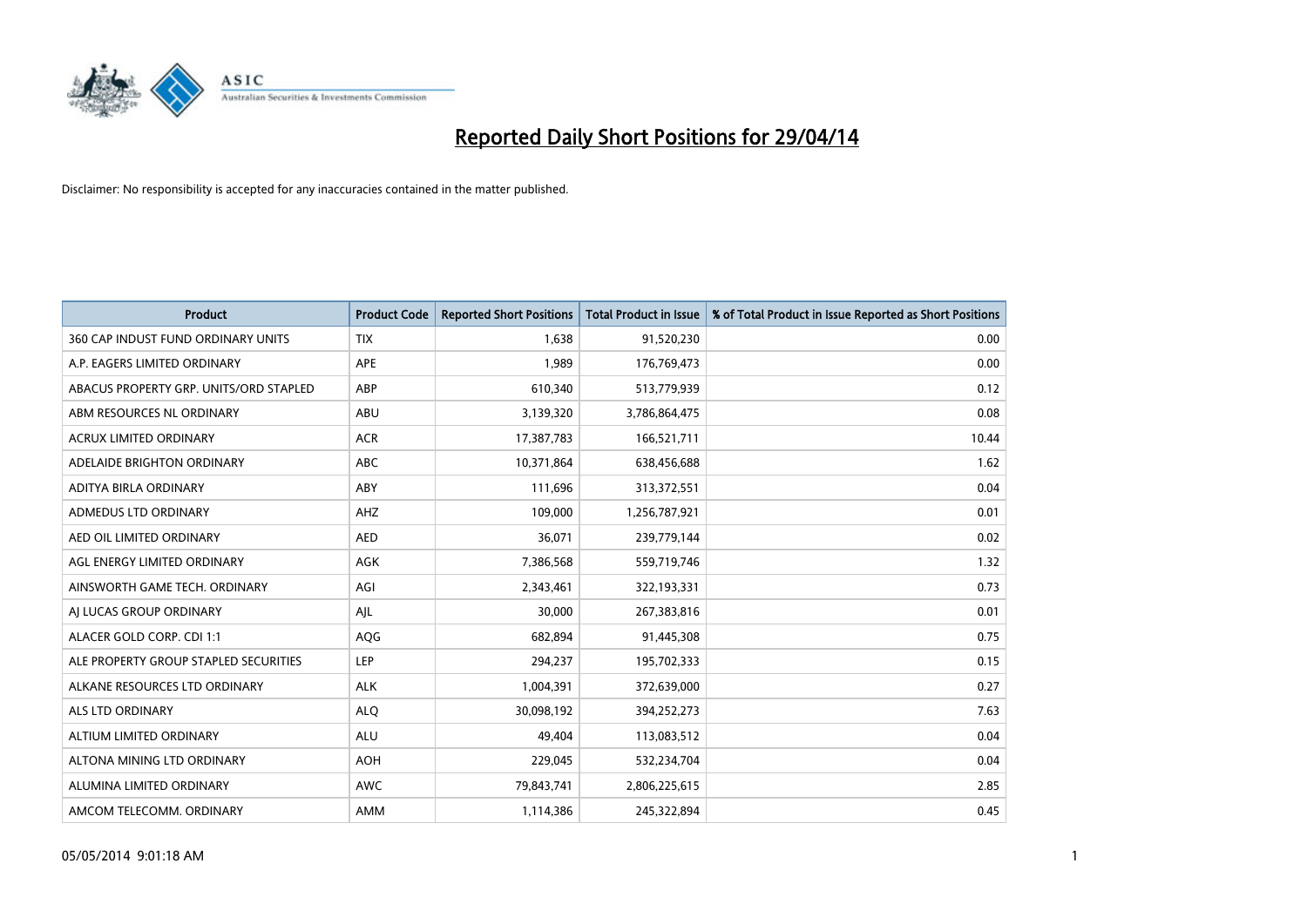

| <b>Product</b>                         | <b>Product Code</b> | <b>Reported Short Positions</b> | <b>Total Product in Issue</b> | % of Total Product in Issue Reported as Short Positions |
|----------------------------------------|---------------------|---------------------------------|-------------------------------|---------------------------------------------------------|
| 360 CAP INDUST FUND ORDINARY UNITS     | <b>TIX</b>          | 1,638                           | 91,520,230                    | 0.00                                                    |
| A.P. EAGERS LIMITED ORDINARY           | APE                 | 1,989                           | 176,769,473                   | 0.00                                                    |
| ABACUS PROPERTY GRP. UNITS/ORD STAPLED | ABP                 | 610,340                         | 513,779,939                   | 0.12                                                    |
| ABM RESOURCES NL ORDINARY              | ABU                 | 3,139,320                       | 3,786,864,475                 | 0.08                                                    |
| <b>ACRUX LIMITED ORDINARY</b>          | <b>ACR</b>          | 17,387,783                      | 166,521,711                   | 10.44                                                   |
| ADELAIDE BRIGHTON ORDINARY             | <b>ABC</b>          | 10,371,864                      | 638,456,688                   | 1.62                                                    |
| ADITYA BIRLA ORDINARY                  | ABY                 | 111,696                         | 313,372,551                   | 0.04                                                    |
| ADMEDUS LTD ORDINARY                   | AHZ                 | 109,000                         | 1,256,787,921                 | 0.01                                                    |
| AED OIL LIMITED ORDINARY               | <b>AED</b>          | 36,071                          | 239,779,144                   | 0.02                                                    |
| AGL ENERGY LIMITED ORDINARY            | <b>AGK</b>          | 7,386,568                       | 559,719,746                   | 1.32                                                    |
| AINSWORTH GAME TECH. ORDINARY          | AGI                 | 2,343,461                       | 322,193,331                   | 0.73                                                    |
| AI LUCAS GROUP ORDINARY                | AJL                 | 30,000                          | 267,383,816                   | 0.01                                                    |
| ALACER GOLD CORP. CDI 1:1              | AQG                 | 682,894                         | 91,445,308                    | 0.75                                                    |
| ALE PROPERTY GROUP STAPLED SECURITIES  | LEP                 | 294,237                         | 195,702,333                   | 0.15                                                    |
| ALKANE RESOURCES LTD ORDINARY          | <b>ALK</b>          | 1,004,391                       | 372,639,000                   | 0.27                                                    |
| ALS LTD ORDINARY                       | <b>ALQ</b>          | 30,098,192                      | 394,252,273                   | 7.63                                                    |
| ALTIUM LIMITED ORDINARY                | <b>ALU</b>          | 49,404                          | 113,083,512                   | 0.04                                                    |
| ALTONA MINING LTD ORDINARY             | <b>AOH</b>          | 229,045                         | 532,234,704                   | 0.04                                                    |
| ALUMINA LIMITED ORDINARY               | <b>AWC</b>          | 79,843,741                      | 2,806,225,615                 | 2.85                                                    |
| AMCOM TELECOMM. ORDINARY               | AMM                 | 1,114,386                       | 245,322,894                   | 0.45                                                    |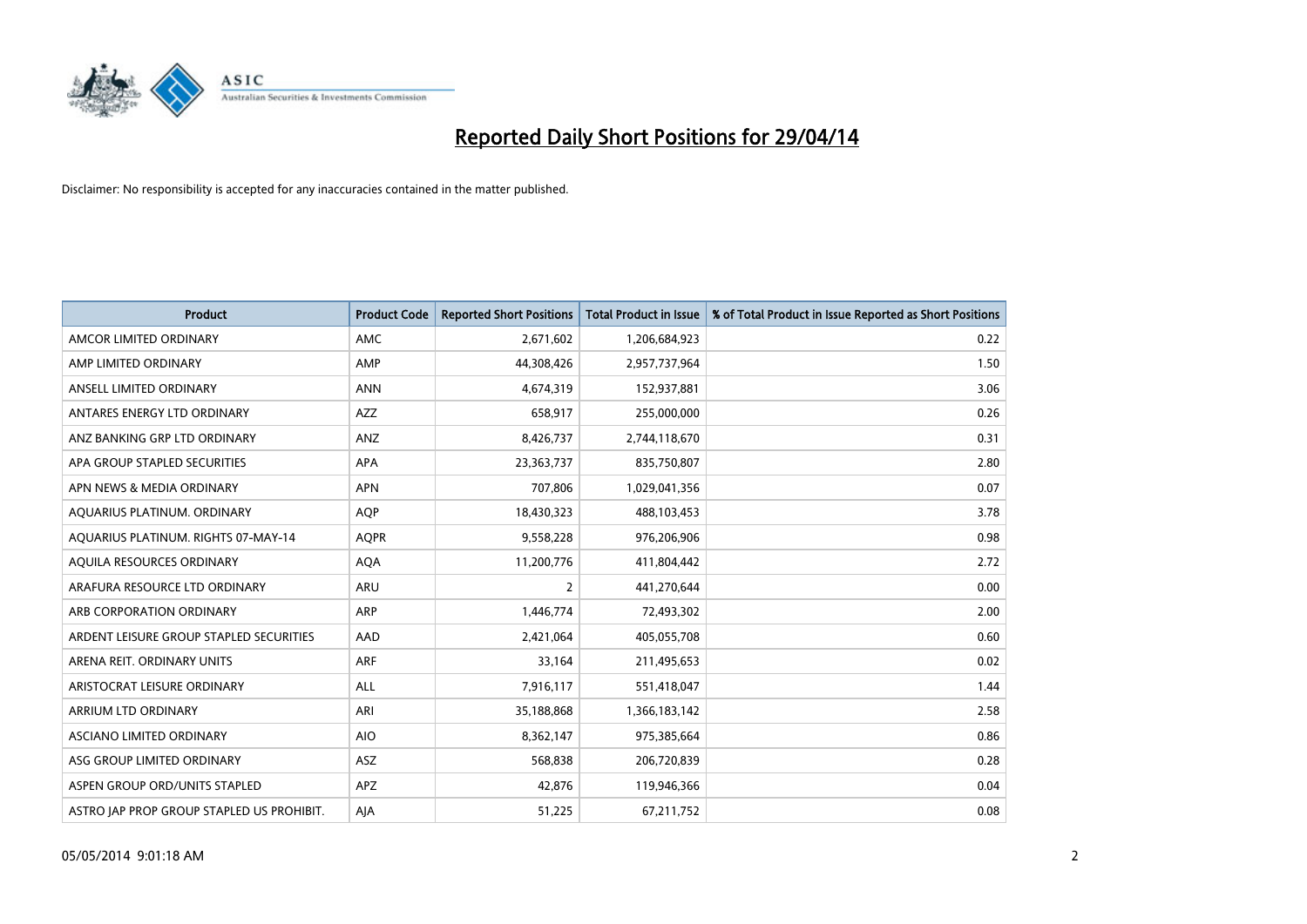

| <b>Product</b>                            | <b>Product Code</b> | <b>Reported Short Positions</b> | <b>Total Product in Issue</b> | % of Total Product in Issue Reported as Short Positions |
|-------------------------------------------|---------------------|---------------------------------|-------------------------------|---------------------------------------------------------|
| AMCOR LIMITED ORDINARY                    | <b>AMC</b>          | 2,671,602                       | 1,206,684,923                 | 0.22                                                    |
| AMP LIMITED ORDINARY                      | AMP                 | 44,308,426                      | 2,957,737,964                 | 1.50                                                    |
| ANSELL LIMITED ORDINARY                   | <b>ANN</b>          | 4,674,319                       | 152,937,881                   | 3.06                                                    |
| ANTARES ENERGY LTD ORDINARY               | AZZ                 | 658,917                         | 255,000,000                   | 0.26                                                    |
| ANZ BANKING GRP LTD ORDINARY              | ANZ                 | 8,426,737                       | 2,744,118,670                 | 0.31                                                    |
| APA GROUP STAPLED SECURITIES              | <b>APA</b>          | 23,363,737                      | 835,750,807                   | 2.80                                                    |
| APN NEWS & MEDIA ORDINARY                 | <b>APN</b>          | 707,806                         | 1,029,041,356                 | 0.07                                                    |
| AQUARIUS PLATINUM. ORDINARY               | <b>AQP</b>          | 18,430,323                      | 488,103,453                   | 3.78                                                    |
| AQUARIUS PLATINUM. RIGHTS 07-MAY-14       | <b>AQPR</b>         | 9,558,228                       | 976,206,906                   | 0.98                                                    |
| AQUILA RESOURCES ORDINARY                 | <b>AQA</b>          | 11,200,776                      | 411,804,442                   | 2.72                                                    |
| ARAFURA RESOURCE LTD ORDINARY             | ARU                 | $\overline{2}$                  | 441,270,644                   | 0.00                                                    |
| ARB CORPORATION ORDINARY                  | <b>ARP</b>          | 1,446,774                       | 72,493,302                    | 2.00                                                    |
| ARDENT LEISURE GROUP STAPLED SECURITIES   | AAD                 | 2,421,064                       | 405,055,708                   | 0.60                                                    |
| ARENA REIT. ORDINARY UNITS                | <b>ARF</b>          | 33,164                          | 211,495,653                   | 0.02                                                    |
| ARISTOCRAT LEISURE ORDINARY               | <b>ALL</b>          | 7,916,117                       | 551,418,047                   | 1.44                                                    |
| ARRIUM LTD ORDINARY                       | ARI                 | 35,188,868                      | 1,366,183,142                 | 2.58                                                    |
| ASCIANO LIMITED ORDINARY                  | <b>AIO</b>          | 8,362,147                       | 975,385,664                   | 0.86                                                    |
| ASG GROUP LIMITED ORDINARY                | ASZ                 | 568,838                         | 206,720,839                   | 0.28                                                    |
| ASPEN GROUP ORD/UNITS STAPLED             | <b>APZ</b>          | 42,876                          | 119,946,366                   | 0.04                                                    |
| ASTRO JAP PROP GROUP STAPLED US PROHIBIT. | AJA                 | 51,225                          | 67,211,752                    | 0.08                                                    |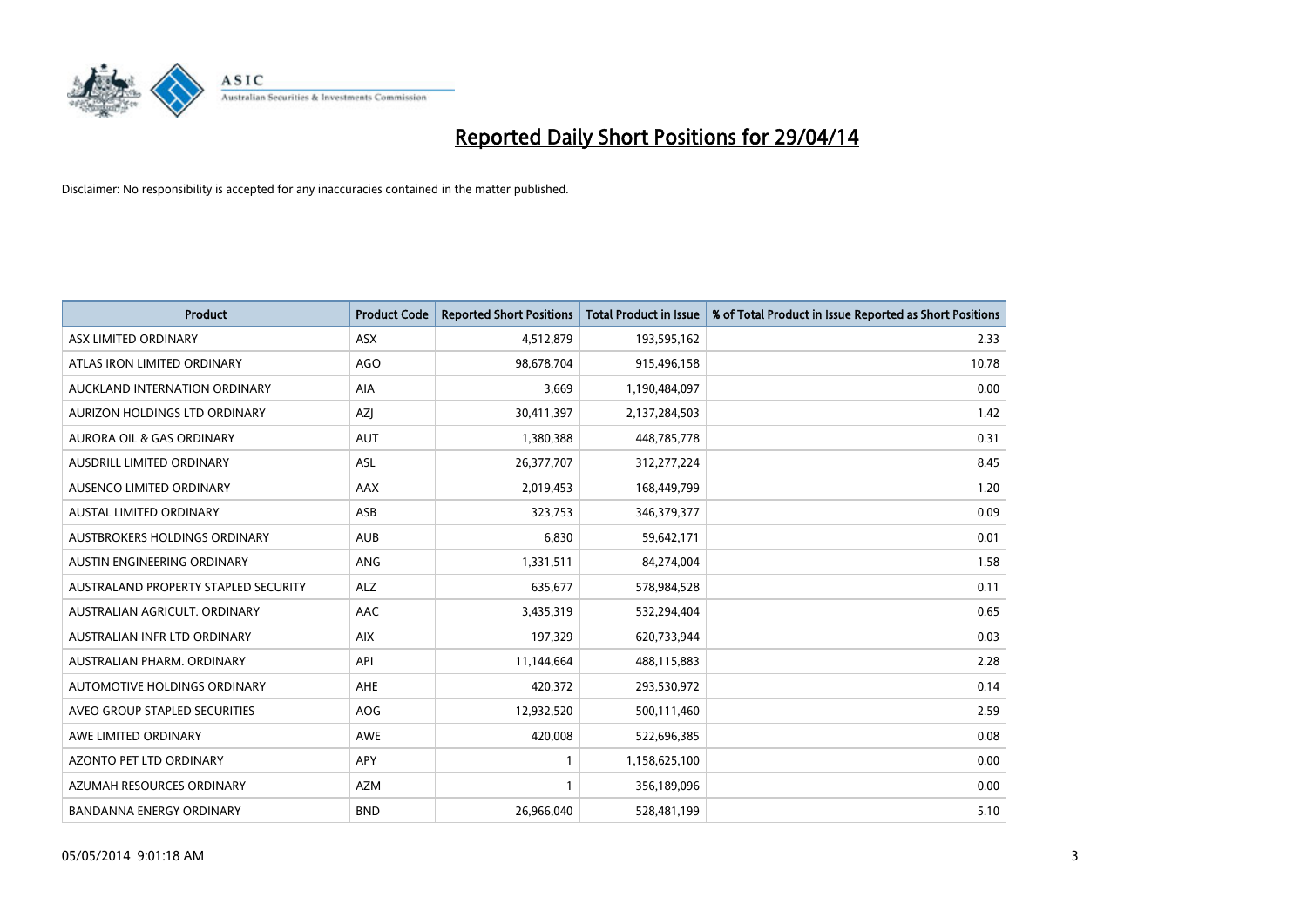

| <b>Product</b>                       | <b>Product Code</b> | <b>Reported Short Positions</b> | <b>Total Product in Issue</b> | % of Total Product in Issue Reported as Short Positions |
|--------------------------------------|---------------------|---------------------------------|-------------------------------|---------------------------------------------------------|
| ASX LIMITED ORDINARY                 | ASX                 | 4,512,879                       | 193,595,162                   | 2.33                                                    |
| ATLAS IRON LIMITED ORDINARY          | <b>AGO</b>          | 98,678,704                      | 915,496,158                   | 10.78                                                   |
| AUCKLAND INTERNATION ORDINARY        | AIA                 | 3,669                           | 1,190,484,097                 | 0.00                                                    |
| AURIZON HOLDINGS LTD ORDINARY        | AZJ                 | 30,411,397                      | 2,137,284,503                 | 1.42                                                    |
| <b>AURORA OIL &amp; GAS ORDINARY</b> | <b>AUT</b>          | 1,380,388                       | 448,785,778                   | 0.31                                                    |
| AUSDRILL LIMITED ORDINARY            | ASL                 | 26,377,707                      | 312,277,224                   | 8.45                                                    |
| AUSENCO LIMITED ORDINARY             | AAX                 | 2,019,453                       | 168,449,799                   | 1.20                                                    |
| AUSTAL LIMITED ORDINARY              | ASB                 | 323,753                         | 346,379,377                   | 0.09                                                    |
| AUSTBROKERS HOLDINGS ORDINARY        | <b>AUB</b>          | 6,830                           | 59,642,171                    | 0.01                                                    |
| AUSTIN ENGINEERING ORDINARY          | ANG                 | 1,331,511                       | 84,274,004                    | 1.58                                                    |
| AUSTRALAND PROPERTY STAPLED SECURITY | <b>ALZ</b>          | 635,677                         | 578,984,528                   | 0.11                                                    |
| AUSTRALIAN AGRICULT, ORDINARY        | AAC                 | 3,435,319                       | 532,294,404                   | 0.65                                                    |
| AUSTRALIAN INFR LTD ORDINARY         | <b>AIX</b>          | 197,329                         | 620,733,944                   | 0.03                                                    |
| AUSTRALIAN PHARM, ORDINARY           | API                 | 11,144,664                      | 488,115,883                   | 2.28                                                    |
| AUTOMOTIVE HOLDINGS ORDINARY         | AHE                 | 420,372                         | 293,530,972                   | 0.14                                                    |
| AVEO GROUP STAPLED SECURITIES        | <b>AOG</b>          | 12,932,520                      | 500,111,460                   | 2.59                                                    |
| AWE LIMITED ORDINARY                 | AWE                 | 420,008                         | 522,696,385                   | 0.08                                                    |
| AZONTO PET LTD ORDINARY              | APY                 | $\mathbf{1}$                    | 1,158,625,100                 | 0.00                                                    |
| AZUMAH RESOURCES ORDINARY            | <b>AZM</b>          | 1                               | 356,189,096                   | 0.00                                                    |
| <b>BANDANNA ENERGY ORDINARY</b>      | <b>BND</b>          | 26,966,040                      | 528,481,199                   | 5.10                                                    |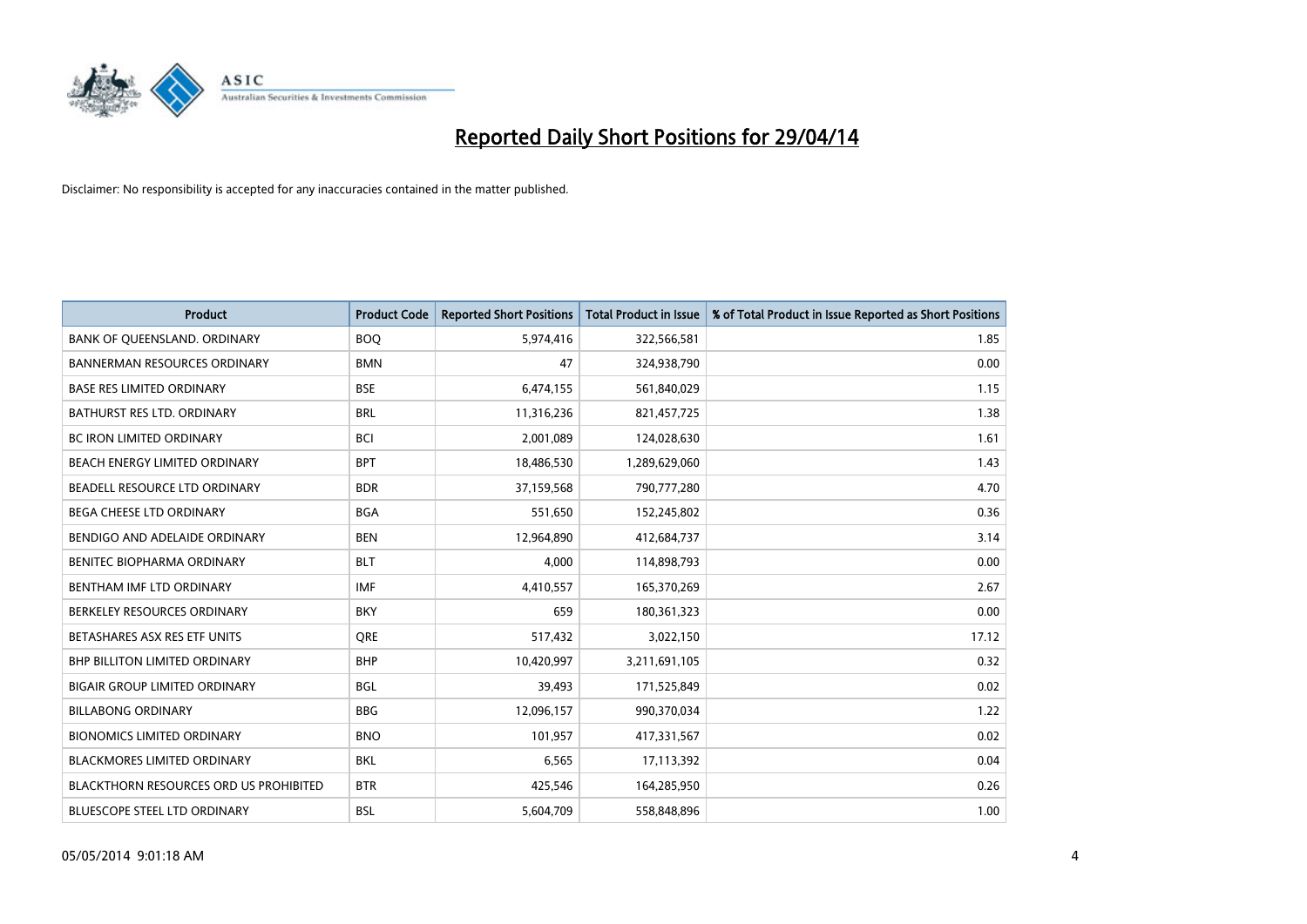

| <b>Product</b>                                | <b>Product Code</b> | <b>Reported Short Positions</b> | <b>Total Product in Issue</b> | % of Total Product in Issue Reported as Short Positions |
|-----------------------------------------------|---------------------|---------------------------------|-------------------------------|---------------------------------------------------------|
| BANK OF QUEENSLAND. ORDINARY                  | <b>BOQ</b>          | 5,974,416                       | 322,566,581                   | 1.85                                                    |
| <b>BANNERMAN RESOURCES ORDINARY</b>           | <b>BMN</b>          | 47                              | 324,938,790                   | 0.00                                                    |
| <b>BASE RES LIMITED ORDINARY</b>              | <b>BSE</b>          | 6,474,155                       | 561,840,029                   | 1.15                                                    |
| BATHURST RES LTD. ORDINARY                    | <b>BRL</b>          | 11,316,236                      | 821,457,725                   | 1.38                                                    |
| <b>BC IRON LIMITED ORDINARY</b>               | <b>BCI</b>          | 2,001,089                       | 124,028,630                   | 1.61                                                    |
| BEACH ENERGY LIMITED ORDINARY                 | <b>BPT</b>          | 18,486,530                      | 1,289,629,060                 | 1.43                                                    |
| BEADELL RESOURCE LTD ORDINARY                 | <b>BDR</b>          | 37,159,568                      | 790,777,280                   | 4.70                                                    |
| <b>BEGA CHEESE LTD ORDINARY</b>               | <b>BGA</b>          | 551,650                         | 152,245,802                   | 0.36                                                    |
| BENDIGO AND ADELAIDE ORDINARY                 | <b>BEN</b>          | 12,964,890                      | 412,684,737                   | 3.14                                                    |
| <b>BENITEC BIOPHARMA ORDINARY</b>             | <b>BLT</b>          | 4,000                           | 114,898,793                   | 0.00                                                    |
| BENTHAM IMF LTD ORDINARY                      | <b>IMF</b>          | 4,410,557                       | 165,370,269                   | 2.67                                                    |
| BERKELEY RESOURCES ORDINARY                   | <b>BKY</b>          | 659                             | 180,361,323                   | 0.00                                                    |
| BETASHARES ASX RES ETF UNITS                  | <b>ORE</b>          | 517,432                         | 3,022,150                     | 17.12                                                   |
| <b>BHP BILLITON LIMITED ORDINARY</b>          | <b>BHP</b>          | 10,420,997                      | 3,211,691,105                 | 0.32                                                    |
| <b>BIGAIR GROUP LIMITED ORDINARY</b>          | <b>BGL</b>          | 39,493                          | 171,525,849                   | 0.02                                                    |
| <b>BILLABONG ORDINARY</b>                     | <b>BBG</b>          | 12,096,157                      | 990,370,034                   | 1.22                                                    |
| <b>BIONOMICS LIMITED ORDINARY</b>             | <b>BNO</b>          | 101,957                         | 417,331,567                   | 0.02                                                    |
| <b>BLACKMORES LIMITED ORDINARY</b>            | <b>BKL</b>          | 6,565                           | 17,113,392                    | 0.04                                                    |
| <b>BLACKTHORN RESOURCES ORD US PROHIBITED</b> | <b>BTR</b>          | 425,546                         | 164,285,950                   | 0.26                                                    |
| BLUESCOPE STEEL LTD ORDINARY                  | BSL                 | 5,604,709                       | 558,848,896                   | 1.00                                                    |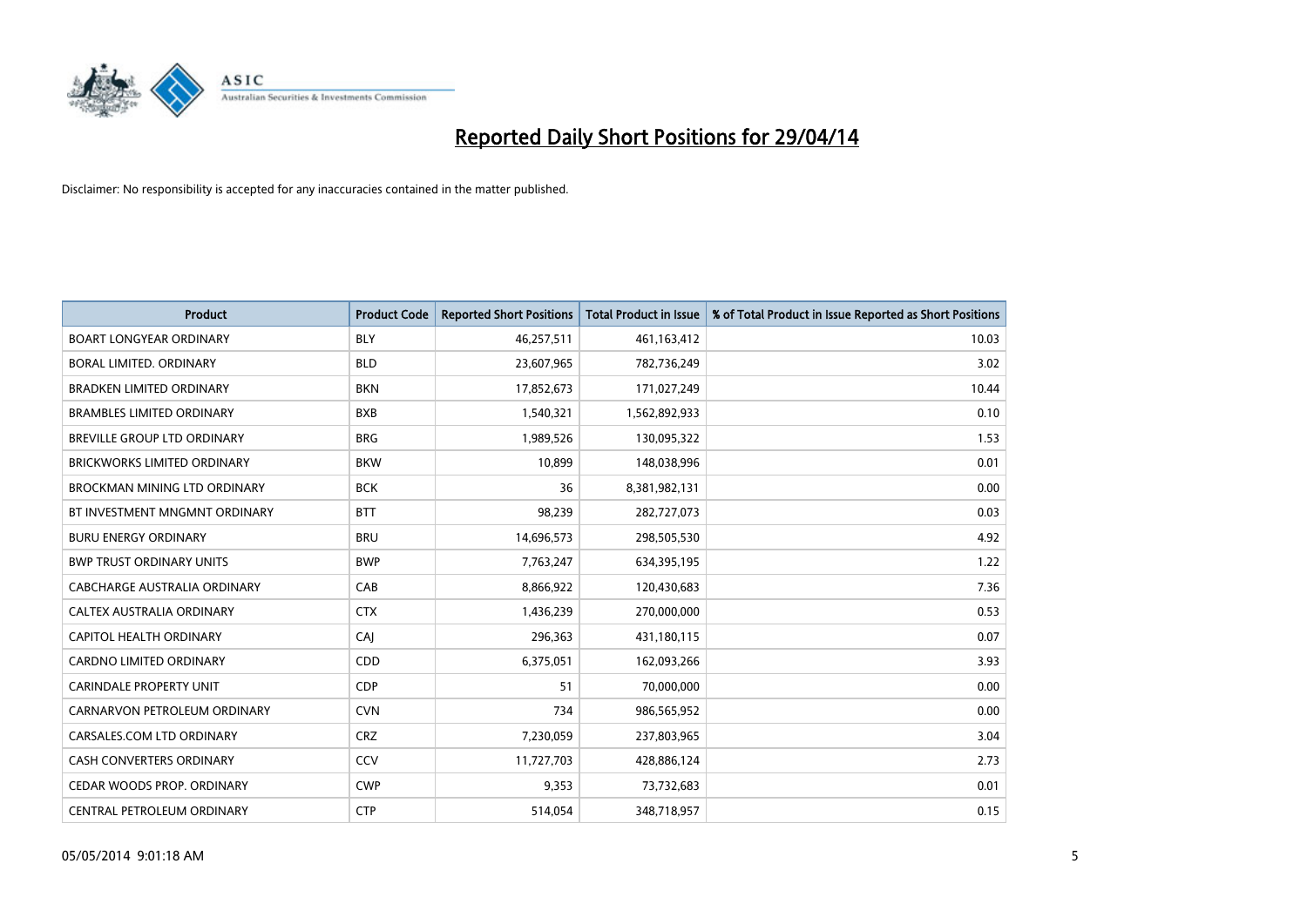

| <b>Product</b>                      | <b>Product Code</b> | <b>Reported Short Positions</b> | <b>Total Product in Issue</b> | % of Total Product in Issue Reported as Short Positions |
|-------------------------------------|---------------------|---------------------------------|-------------------------------|---------------------------------------------------------|
| <b>BOART LONGYEAR ORDINARY</b>      | <b>BLY</b>          | 46,257,511                      | 461,163,412                   | 10.03                                                   |
| BORAL LIMITED. ORDINARY             | <b>BLD</b>          | 23,607,965                      | 782,736,249                   | 3.02                                                    |
| <b>BRADKEN LIMITED ORDINARY</b>     | <b>BKN</b>          | 17,852,673                      | 171,027,249                   | 10.44                                                   |
| <b>BRAMBLES LIMITED ORDINARY</b>    | <b>BXB</b>          | 1,540,321                       | 1,562,892,933                 | 0.10                                                    |
| BREVILLE GROUP LTD ORDINARY         | <b>BRG</b>          | 1,989,526                       | 130,095,322                   | 1.53                                                    |
| <b>BRICKWORKS LIMITED ORDINARY</b>  | <b>BKW</b>          | 10,899                          | 148,038,996                   | 0.01                                                    |
| <b>BROCKMAN MINING LTD ORDINARY</b> | <b>BCK</b>          | 36                              | 8,381,982,131                 | 0.00                                                    |
| BT INVESTMENT MNGMNT ORDINARY       | <b>BTT</b>          | 98,239                          | 282,727,073                   | 0.03                                                    |
| <b>BURU ENERGY ORDINARY</b>         | <b>BRU</b>          | 14,696,573                      | 298,505,530                   | 4.92                                                    |
| <b>BWP TRUST ORDINARY UNITS</b>     | <b>BWP</b>          | 7,763,247                       | 634,395,195                   | 1.22                                                    |
| CABCHARGE AUSTRALIA ORDINARY        | CAB                 | 8,866,922                       | 120,430,683                   | 7.36                                                    |
| CALTEX AUSTRALIA ORDINARY           | <b>CTX</b>          | 1,436,239                       | 270,000,000                   | 0.53                                                    |
| CAPITOL HEALTH ORDINARY             | CAJ                 | 296,363                         | 431,180,115                   | 0.07                                                    |
| <b>CARDNO LIMITED ORDINARY</b>      | CDD                 | 6,375,051                       | 162,093,266                   | 3.93                                                    |
| <b>CARINDALE PROPERTY UNIT</b>      | <b>CDP</b>          | 51                              | 70,000,000                    | 0.00                                                    |
| CARNARVON PETROLEUM ORDINARY        | <b>CVN</b>          | 734                             | 986,565,952                   | 0.00                                                    |
| CARSALES.COM LTD ORDINARY           | <b>CRZ</b>          | 7,230,059                       | 237,803,965                   | 3.04                                                    |
| CASH CONVERTERS ORDINARY            | CCV                 | 11,727,703                      | 428,886,124                   | 2.73                                                    |
| CEDAR WOODS PROP. ORDINARY          | <b>CWP</b>          | 9,353                           | 73,732,683                    | 0.01                                                    |
| CENTRAL PETROLEUM ORDINARY          | <b>CTP</b>          | 514,054                         | 348,718,957                   | 0.15                                                    |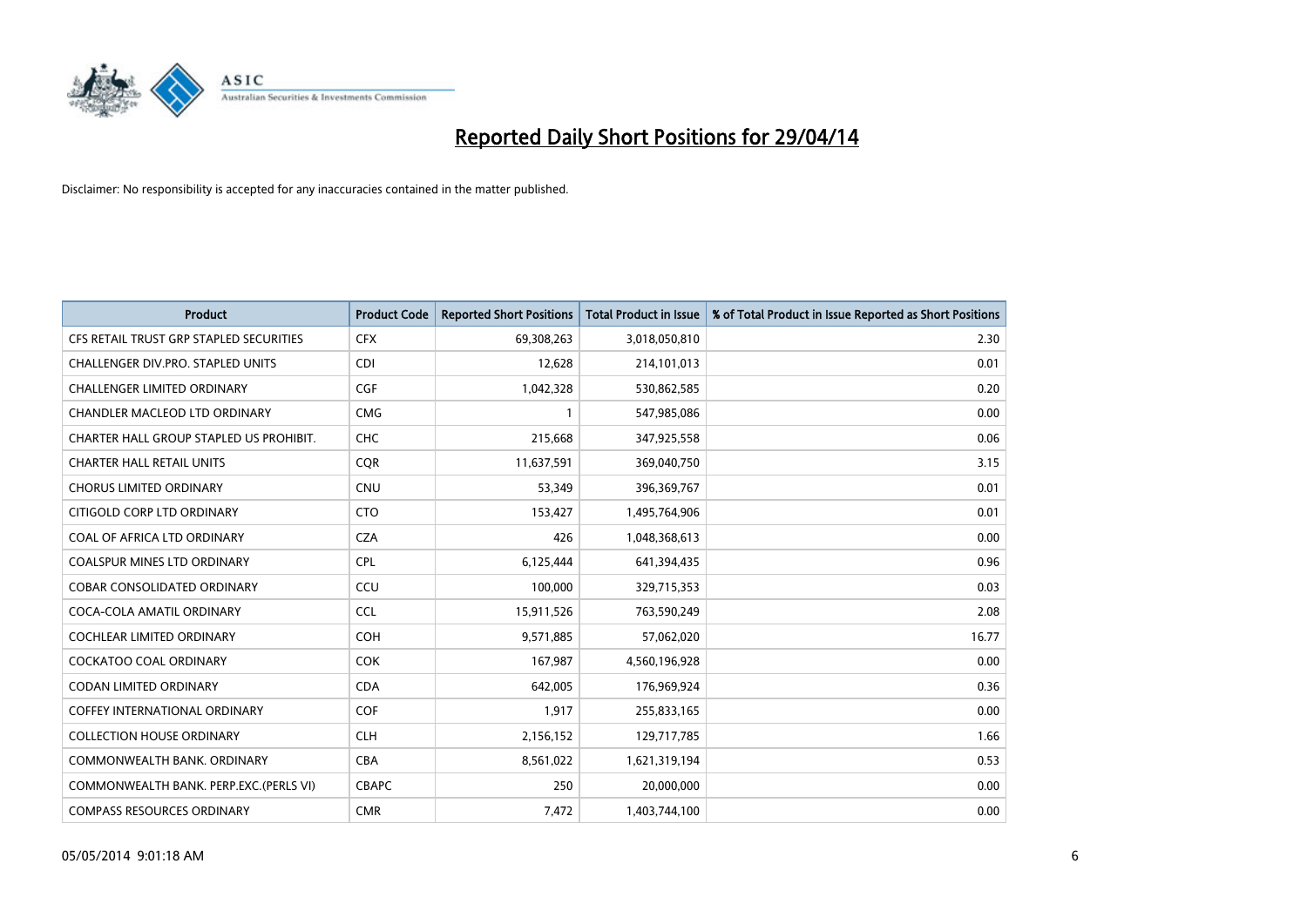

| <b>Product</b>                          | <b>Product Code</b> | <b>Reported Short Positions</b> | <b>Total Product in Issue</b> | % of Total Product in Issue Reported as Short Positions |
|-----------------------------------------|---------------------|---------------------------------|-------------------------------|---------------------------------------------------------|
| CFS RETAIL TRUST GRP STAPLED SECURITIES | <b>CFX</b>          | 69,308,263                      | 3,018,050,810                 | 2.30                                                    |
| CHALLENGER DIV.PRO. STAPLED UNITS       | <b>CDI</b>          | 12,628                          | 214,101,013                   | 0.01                                                    |
| <b>CHALLENGER LIMITED ORDINARY</b>      | <b>CGF</b>          | 1,042,328                       | 530,862,585                   | 0.20                                                    |
| CHANDLER MACLEOD LTD ORDINARY           | <b>CMG</b>          | 1                               | 547,985,086                   | 0.00                                                    |
| CHARTER HALL GROUP STAPLED US PROHIBIT. | <b>CHC</b>          | 215,668                         | 347,925,558                   | 0.06                                                    |
| <b>CHARTER HALL RETAIL UNITS</b>        | CQR                 | 11,637,591                      | 369,040,750                   | 3.15                                                    |
| <b>CHORUS LIMITED ORDINARY</b>          | <b>CNU</b>          | 53,349                          | 396,369,767                   | 0.01                                                    |
| CITIGOLD CORP LTD ORDINARY              | <b>CTO</b>          | 153,427                         | 1,495,764,906                 | 0.01                                                    |
| COAL OF AFRICA LTD ORDINARY             | <b>CZA</b>          | 426                             | 1,048,368,613                 | 0.00                                                    |
| <b>COALSPUR MINES LTD ORDINARY</b>      | <b>CPL</b>          | 6,125,444                       | 641,394,435                   | 0.96                                                    |
| COBAR CONSOLIDATED ORDINARY             | CCU                 | 100,000                         | 329,715,353                   | 0.03                                                    |
| COCA-COLA AMATIL ORDINARY               | <b>CCL</b>          | 15,911,526                      | 763,590,249                   | 2.08                                                    |
| COCHLEAR LIMITED ORDINARY               | <b>COH</b>          | 9,571,885                       | 57,062,020                    | 16.77                                                   |
| <b>COCKATOO COAL ORDINARY</b>           | <b>COK</b>          | 167,987                         | 4,560,196,928                 | 0.00                                                    |
| <b>CODAN LIMITED ORDINARY</b>           | <b>CDA</b>          | 642,005                         | 176,969,924                   | 0.36                                                    |
| COFFEY INTERNATIONAL ORDINARY           | <b>COF</b>          | 1,917                           | 255,833,165                   | 0.00                                                    |
| <b>COLLECTION HOUSE ORDINARY</b>        | <b>CLH</b>          | 2,156,152                       | 129,717,785                   | 1.66                                                    |
| COMMONWEALTH BANK, ORDINARY             | <b>CBA</b>          | 8,561,022                       | 1,621,319,194                 | 0.53                                                    |
| COMMONWEALTH BANK, PERP.EXC.(PERLS VI)  | <b>CBAPC</b>        | 250                             | 20,000,000                    | 0.00                                                    |
| <b>COMPASS RESOURCES ORDINARY</b>       | <b>CMR</b>          | 7,472                           | 1,403,744,100                 | 0.00                                                    |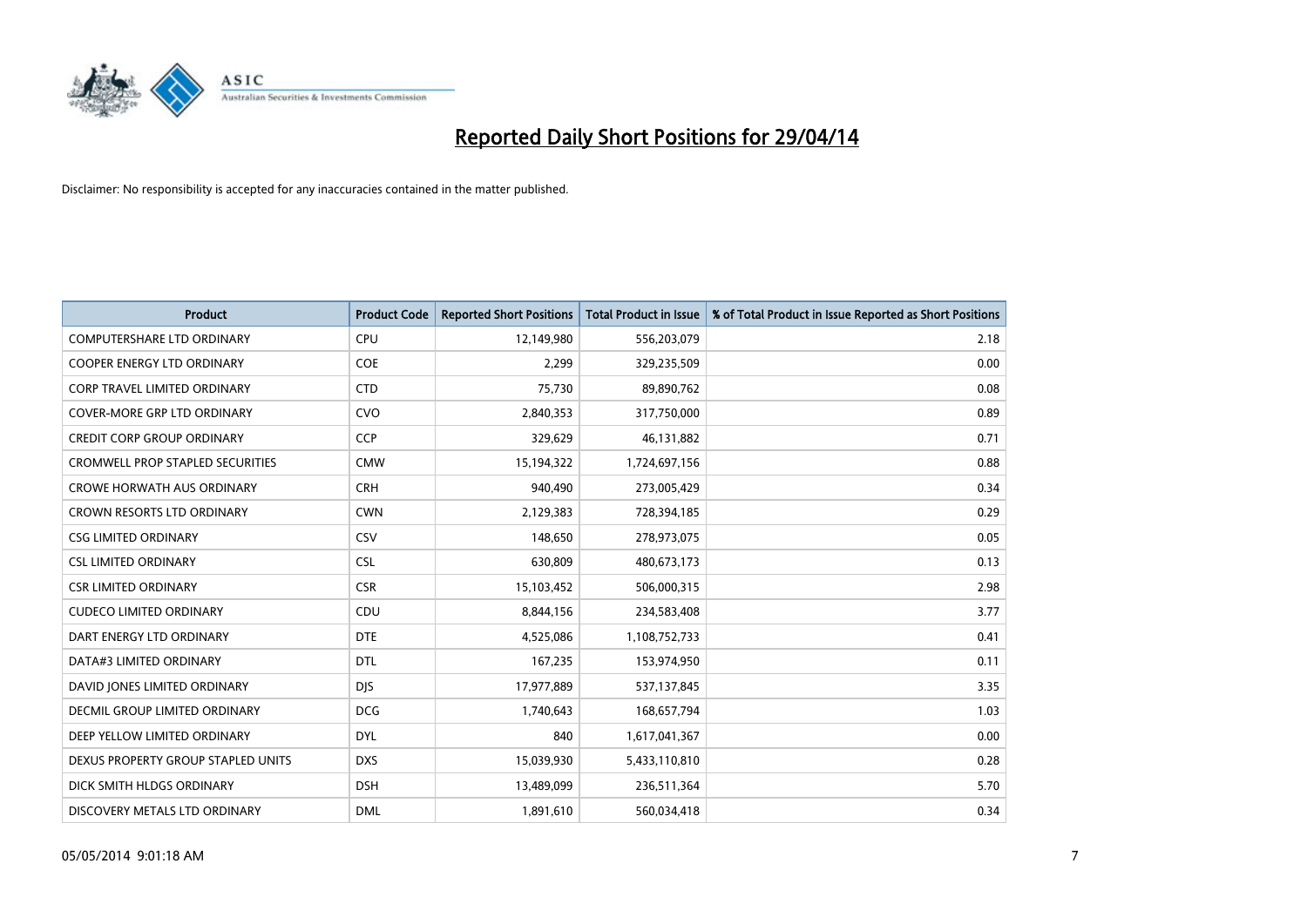

| <b>Product</b>                          | <b>Product Code</b> | <b>Reported Short Positions</b> | <b>Total Product in Issue</b> | % of Total Product in Issue Reported as Short Positions |
|-----------------------------------------|---------------------|---------------------------------|-------------------------------|---------------------------------------------------------|
| <b>COMPUTERSHARE LTD ORDINARY</b>       | <b>CPU</b>          | 12,149,980                      | 556,203,079                   | 2.18                                                    |
| COOPER ENERGY LTD ORDINARY              | <b>COE</b>          | 2,299                           | 329,235,509                   | 0.00                                                    |
| <b>CORP TRAVEL LIMITED ORDINARY</b>     | <b>CTD</b>          | 75,730                          | 89,890,762                    | 0.08                                                    |
| <b>COVER-MORE GRP LTD ORDINARY</b>      | <b>CVO</b>          | 2,840,353                       | 317,750,000                   | 0.89                                                    |
| <b>CREDIT CORP GROUP ORDINARY</b>       | <b>CCP</b>          | 329,629                         | 46,131,882                    | 0.71                                                    |
| <b>CROMWELL PROP STAPLED SECURITIES</b> | <b>CMW</b>          | 15,194,322                      | 1,724,697,156                 | 0.88                                                    |
| <b>CROWE HORWATH AUS ORDINARY</b>       | <b>CRH</b>          | 940,490                         | 273,005,429                   | 0.34                                                    |
| CROWN RESORTS LTD ORDINARY              | <b>CWN</b>          | 2,129,383                       | 728,394,185                   | 0.29                                                    |
| <b>CSG LIMITED ORDINARY</b>             | CSV                 | 148,650                         | 278,973,075                   | 0.05                                                    |
| <b>CSL LIMITED ORDINARY</b>             | <b>CSL</b>          | 630,809                         | 480,673,173                   | 0.13                                                    |
| <b>CSR LIMITED ORDINARY</b>             | <b>CSR</b>          | 15,103,452                      | 506,000,315                   | 2.98                                                    |
| <b>CUDECO LIMITED ORDINARY</b>          | CDU                 | 8,844,156                       | 234,583,408                   | 3.77                                                    |
| DART ENERGY LTD ORDINARY                | <b>DTE</b>          | 4,525,086                       | 1,108,752,733                 | 0.41                                                    |
| DATA#3 LIMITED ORDINARY                 | DTL                 | 167,235                         | 153,974,950                   | 0.11                                                    |
| DAVID JONES LIMITED ORDINARY            | <b>DJS</b>          | 17,977,889                      | 537,137,845                   | 3.35                                                    |
| DECMIL GROUP LIMITED ORDINARY           | <b>DCG</b>          | 1,740,643                       | 168,657,794                   | 1.03                                                    |
| DEEP YELLOW LIMITED ORDINARY            | <b>DYL</b>          | 840                             | 1,617,041,367                 | 0.00                                                    |
| DEXUS PROPERTY GROUP STAPLED UNITS      | <b>DXS</b>          | 15,039,930                      | 5,433,110,810                 | 0.28                                                    |
| DICK SMITH HLDGS ORDINARY               | <b>DSH</b>          | 13,489,099                      | 236,511,364                   | 5.70                                                    |
| DISCOVERY METALS LTD ORDINARY           | <b>DML</b>          | 1,891,610                       | 560,034,418                   | 0.34                                                    |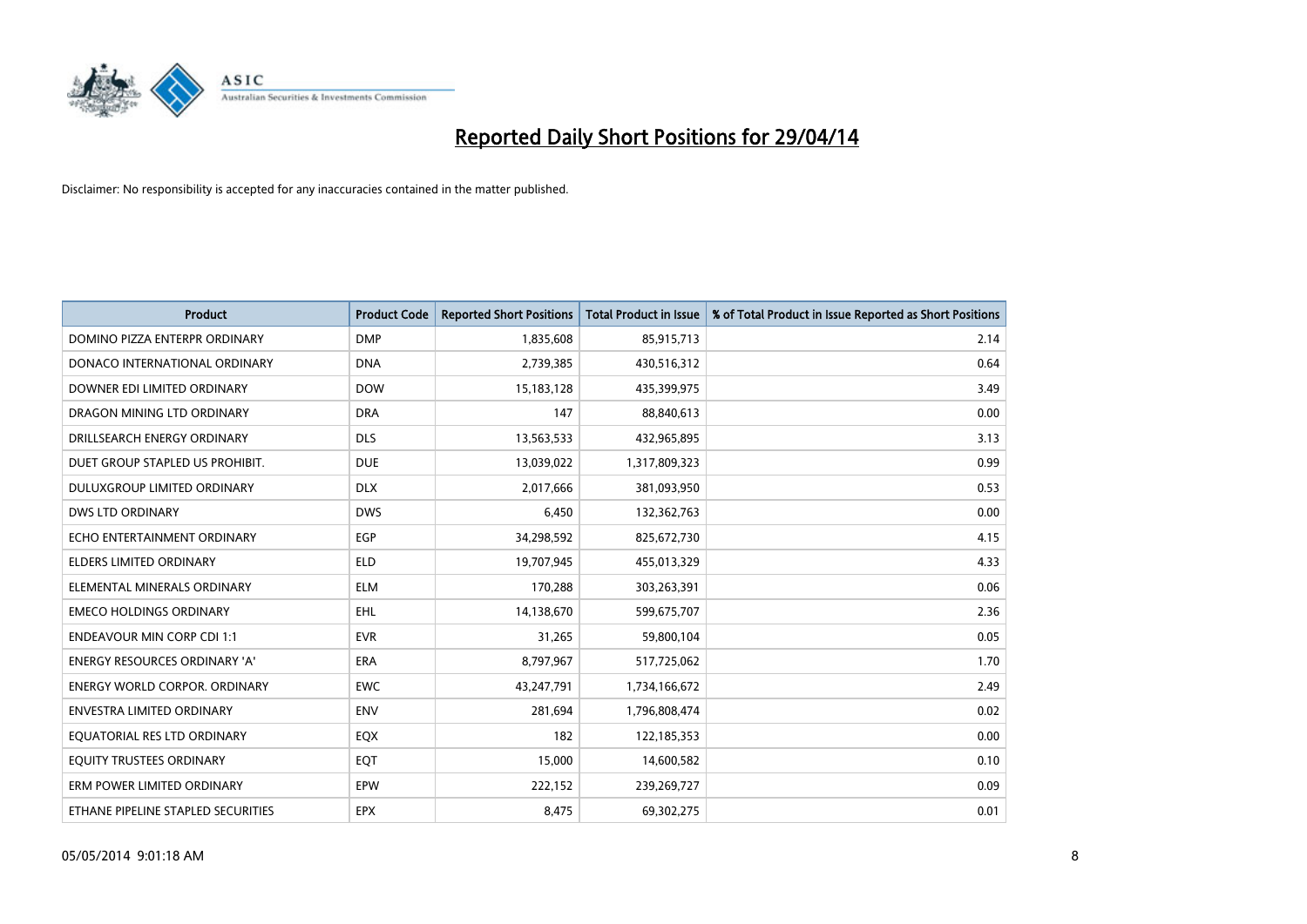

| <b>Product</b>                       | <b>Product Code</b> | <b>Reported Short Positions</b> | <b>Total Product in Issue</b> | % of Total Product in Issue Reported as Short Positions |
|--------------------------------------|---------------------|---------------------------------|-------------------------------|---------------------------------------------------------|
| DOMINO PIZZA ENTERPR ORDINARY        | <b>DMP</b>          | 1,835,608                       | 85,915,713                    | 2.14                                                    |
| DONACO INTERNATIONAL ORDINARY        | <b>DNA</b>          | 2,739,385                       | 430,516,312                   | 0.64                                                    |
| DOWNER EDI LIMITED ORDINARY          | <b>DOW</b>          | 15,183,128                      | 435,399,975                   | 3.49                                                    |
| DRAGON MINING LTD ORDINARY           | <b>DRA</b>          | 147                             | 88,840,613                    | 0.00                                                    |
| DRILLSEARCH ENERGY ORDINARY          | <b>DLS</b>          | 13,563,533                      | 432,965,895                   | 3.13                                                    |
| DUET GROUP STAPLED US PROHIBIT.      | <b>DUE</b>          | 13,039,022                      | 1,317,809,323                 | 0.99                                                    |
| <b>DULUXGROUP LIMITED ORDINARY</b>   | <b>DLX</b>          | 2,017,666                       | 381,093,950                   | 0.53                                                    |
| DWS LTD ORDINARY                     | <b>DWS</b>          | 6,450                           | 132,362,763                   | 0.00                                                    |
| ECHO ENTERTAINMENT ORDINARY          | <b>EGP</b>          | 34,298,592                      | 825,672,730                   | 4.15                                                    |
| <b>ELDERS LIMITED ORDINARY</b>       | <b>ELD</b>          | 19,707,945                      | 455,013,329                   | 4.33                                                    |
| ELEMENTAL MINERALS ORDINARY          | <b>ELM</b>          | 170,288                         | 303,263,391                   | 0.06                                                    |
| <b>EMECO HOLDINGS ORDINARY</b>       | EHL                 | 14,138,670                      | 599,675,707                   | 2.36                                                    |
| <b>ENDEAVOUR MIN CORP CDI 1:1</b>    | <b>EVR</b>          | 31,265                          | 59,800,104                    | 0.05                                                    |
| <b>ENERGY RESOURCES ORDINARY 'A'</b> | ERA                 | 8,797,967                       | 517,725,062                   | 1.70                                                    |
| <b>ENERGY WORLD CORPOR, ORDINARY</b> | <b>EWC</b>          | 43,247,791                      | 1,734,166,672                 | 2.49                                                    |
| ENVESTRA LIMITED ORDINARY            | <b>ENV</b>          | 281,694                         | 1,796,808,474                 | 0.02                                                    |
| EQUATORIAL RES LTD ORDINARY          | EQX                 | 182                             | 122,185,353                   | 0.00                                                    |
| EQUITY TRUSTEES ORDINARY             | EQT                 | 15,000                          | 14,600,582                    | 0.10                                                    |
| ERM POWER LIMITED ORDINARY           | EPW                 | 222,152                         | 239,269,727                   | 0.09                                                    |
| ETHANE PIPELINE STAPLED SECURITIES   | <b>EPX</b>          | 8,475                           | 69,302,275                    | 0.01                                                    |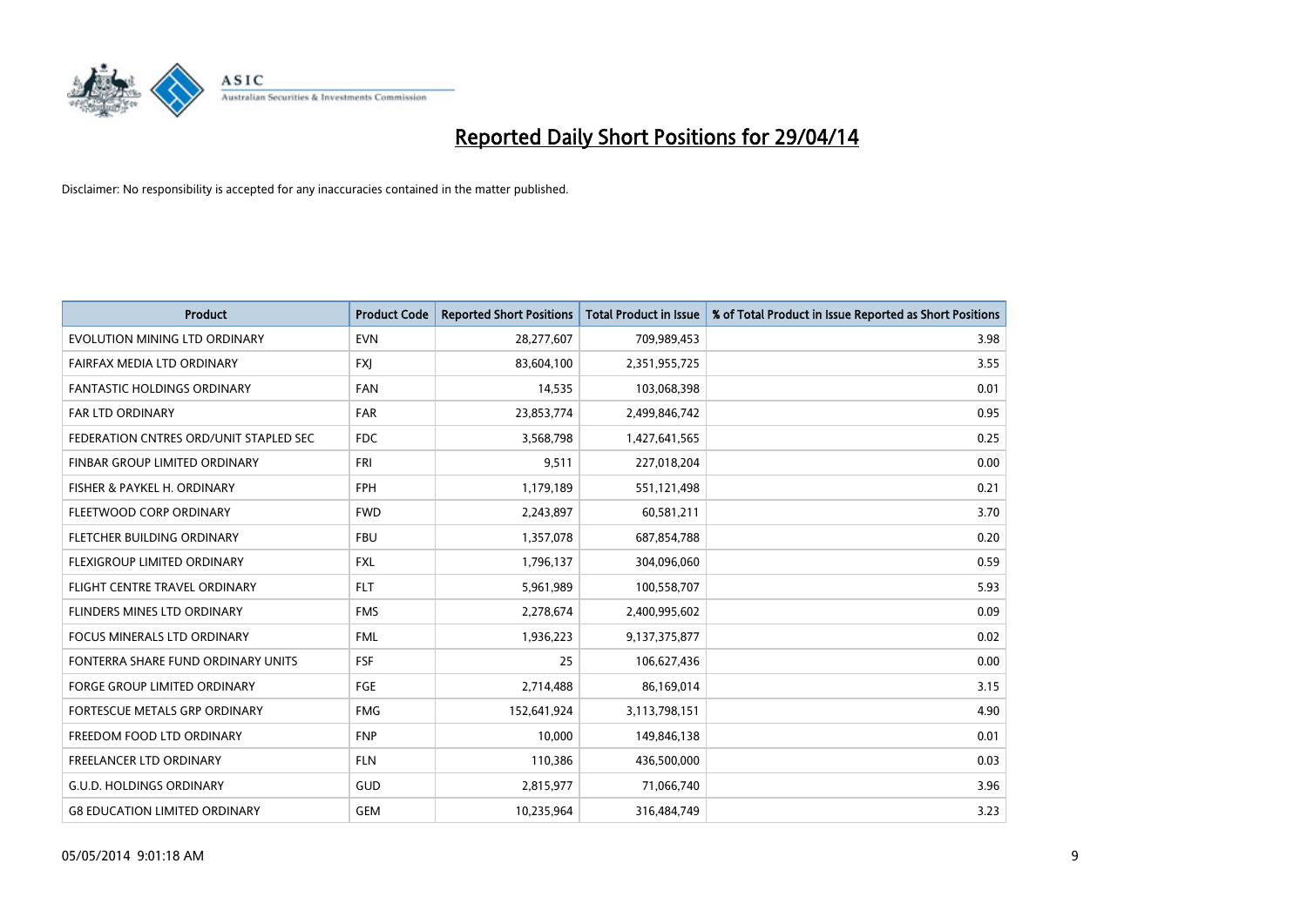

| <b>Product</b>                         | <b>Product Code</b> | <b>Reported Short Positions</b> | <b>Total Product in Issue</b> | % of Total Product in Issue Reported as Short Positions |
|----------------------------------------|---------------------|---------------------------------|-------------------------------|---------------------------------------------------------|
| EVOLUTION MINING LTD ORDINARY          | <b>EVN</b>          | 28,277,607                      | 709,989,453                   | 3.98                                                    |
| FAIRFAX MEDIA LTD ORDINARY             | <b>FXJ</b>          | 83,604,100                      | 2,351,955,725                 | 3.55                                                    |
| <b>FANTASTIC HOLDINGS ORDINARY</b>     | <b>FAN</b>          | 14,535                          | 103,068,398                   | 0.01                                                    |
| FAR LTD ORDINARY                       | <b>FAR</b>          | 23,853,774                      | 2,499,846,742                 | 0.95                                                    |
| FEDERATION CNTRES ORD/UNIT STAPLED SEC | <b>FDC</b>          | 3,568,798                       | 1,427,641,565                 | 0.25                                                    |
| FINBAR GROUP LIMITED ORDINARY          | <b>FRI</b>          | 9,511                           | 227,018,204                   | 0.00                                                    |
| FISHER & PAYKEL H. ORDINARY            | <b>FPH</b>          | 1,179,189                       | 551,121,498                   | 0.21                                                    |
| FLEETWOOD CORP ORDINARY                | <b>FWD</b>          | 2,243,897                       | 60,581,211                    | 3.70                                                    |
| FLETCHER BUILDING ORDINARY             | <b>FBU</b>          | 1,357,078                       | 687,854,788                   | 0.20                                                    |
| FLEXIGROUP LIMITED ORDINARY            | <b>FXL</b>          | 1,796,137                       | 304,096,060                   | 0.59                                                    |
| FLIGHT CENTRE TRAVEL ORDINARY          | <b>FLT</b>          | 5,961,989                       | 100,558,707                   | 5.93                                                    |
| FLINDERS MINES LTD ORDINARY            | <b>FMS</b>          | 2,278,674                       | 2,400,995,602                 | 0.09                                                    |
| <b>FOCUS MINERALS LTD ORDINARY</b>     | <b>FML</b>          | 1,936,223                       | 9,137,375,877                 | 0.02                                                    |
| FONTERRA SHARE FUND ORDINARY UNITS     | <b>FSF</b>          | 25                              | 106,627,436                   | 0.00                                                    |
| <b>FORGE GROUP LIMITED ORDINARY</b>    | FGE                 | 2,714,488                       | 86,169,014                    | 3.15                                                    |
| FORTESCUE METALS GRP ORDINARY          | <b>FMG</b>          | 152,641,924                     | 3,113,798,151                 | 4.90                                                    |
| FREEDOM FOOD LTD ORDINARY              | <b>FNP</b>          | 10,000                          | 149,846,138                   | 0.01                                                    |
| <b>FREELANCER LTD ORDINARY</b>         | <b>FLN</b>          | 110,386                         | 436,500,000                   | 0.03                                                    |
| <b>G.U.D. HOLDINGS ORDINARY</b>        | GUD                 | 2,815,977                       | 71,066,740                    | 3.96                                                    |
| <b>G8 EDUCATION LIMITED ORDINARY</b>   | <b>GEM</b>          | 10,235,964                      | 316,484,749                   | 3.23                                                    |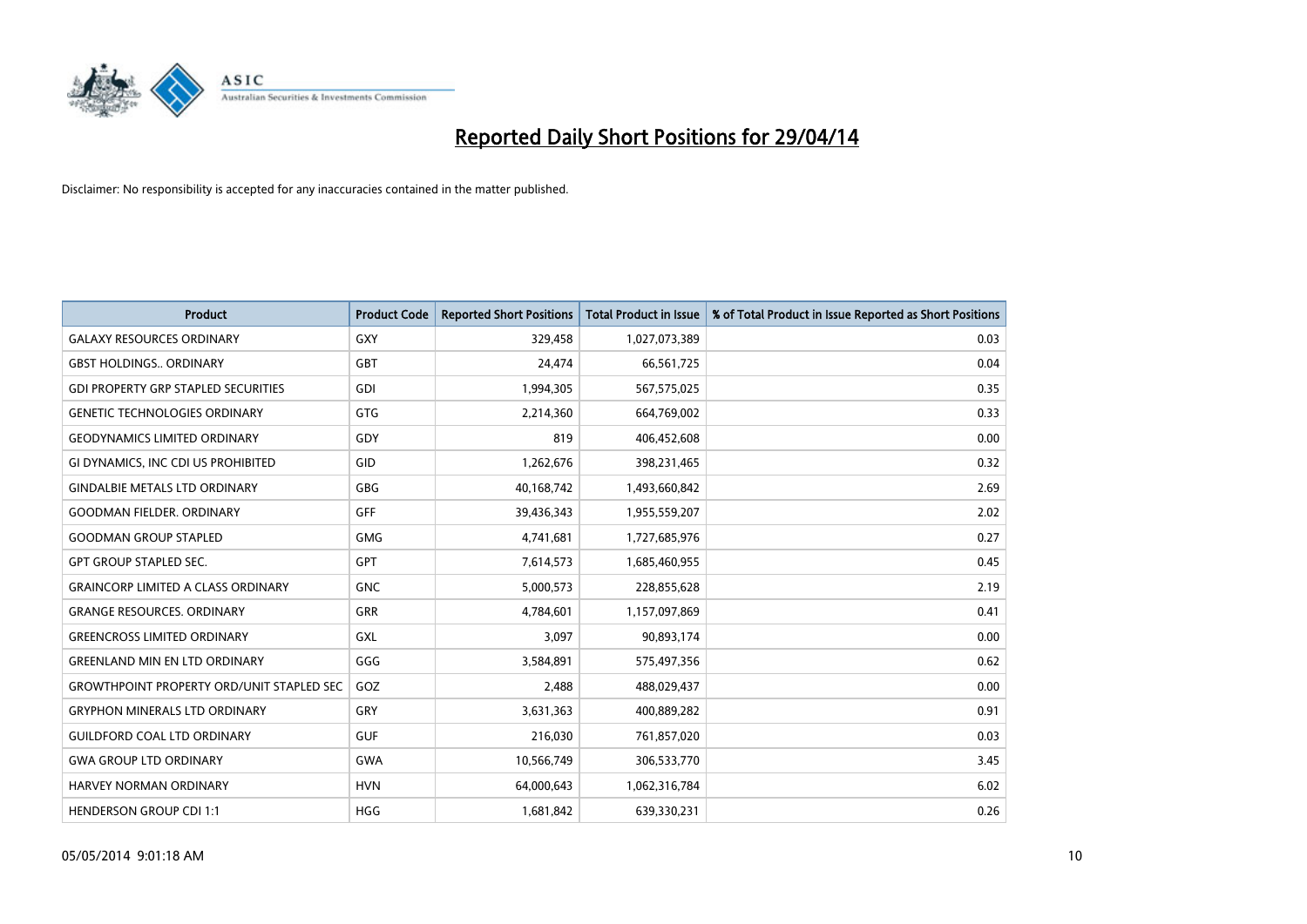

| Product                                          | <b>Product Code</b> | <b>Reported Short Positions</b> | <b>Total Product in Issue</b> | % of Total Product in Issue Reported as Short Positions |
|--------------------------------------------------|---------------------|---------------------------------|-------------------------------|---------------------------------------------------------|
| <b>GALAXY RESOURCES ORDINARY</b>                 | GXY                 | 329,458                         | 1,027,073,389                 | 0.03                                                    |
| <b>GBST HOLDINGS ORDINARY</b>                    | GBT                 | 24,474                          | 66,561,725                    | 0.04                                                    |
| <b>GDI PROPERTY GRP STAPLED SECURITIES</b>       | <b>GDI</b>          | 1,994,305                       | 567,575,025                   | 0.35                                                    |
| <b>GENETIC TECHNOLOGIES ORDINARY</b>             | GTG                 | 2,214,360                       | 664,769,002                   | 0.33                                                    |
| <b>GEODYNAMICS LIMITED ORDINARY</b>              | GDY                 | 819                             | 406,452,608                   | 0.00                                                    |
| GI DYNAMICS, INC CDI US PROHIBITED               | GID                 | 1,262,676                       | 398,231,465                   | 0.32                                                    |
| <b>GINDALBIE METALS LTD ORDINARY</b>             | GBG                 | 40,168,742                      | 1,493,660,842                 | 2.69                                                    |
| <b>GOODMAN FIELDER, ORDINARY</b>                 | GFF                 | 39,436,343                      | 1,955,559,207                 | 2.02                                                    |
| <b>GOODMAN GROUP STAPLED</b>                     | <b>GMG</b>          | 4,741,681                       | 1,727,685,976                 | 0.27                                                    |
| <b>GPT GROUP STAPLED SEC.</b>                    | GPT                 | 7,614,573                       | 1,685,460,955                 | 0.45                                                    |
| <b>GRAINCORP LIMITED A CLASS ORDINARY</b>        | <b>GNC</b>          | 5,000,573                       | 228,855,628                   | 2.19                                                    |
| <b>GRANGE RESOURCES, ORDINARY</b>                | GRR                 | 4,784,601                       | 1,157,097,869                 | 0.41                                                    |
| <b>GREENCROSS LIMITED ORDINARY</b>               | GXL                 | 3,097                           | 90,893,174                    | 0.00                                                    |
| <b>GREENLAND MIN EN LTD ORDINARY</b>             | GGG                 | 3,584,891                       | 575,497,356                   | 0.62                                                    |
| <b>GROWTHPOINT PROPERTY ORD/UNIT STAPLED SEC</b> | GOZ                 | 2,488                           | 488,029,437                   | 0.00                                                    |
| <b>GRYPHON MINERALS LTD ORDINARY</b>             | GRY                 | 3,631,363                       | 400,889,282                   | 0.91                                                    |
| <b>GUILDFORD COAL LTD ORDINARY</b>               | <b>GUF</b>          | 216,030                         | 761,857,020                   | 0.03                                                    |
| <b>GWA GROUP LTD ORDINARY</b>                    | <b>GWA</b>          | 10,566,749                      | 306,533,770                   | 3.45                                                    |
| HARVEY NORMAN ORDINARY                           | <b>HVN</b>          | 64,000,643                      | 1,062,316,784                 | 6.02                                                    |
| <b>HENDERSON GROUP CDI 1:1</b>                   | <b>HGG</b>          | 1,681,842                       | 639,330,231                   | 0.26                                                    |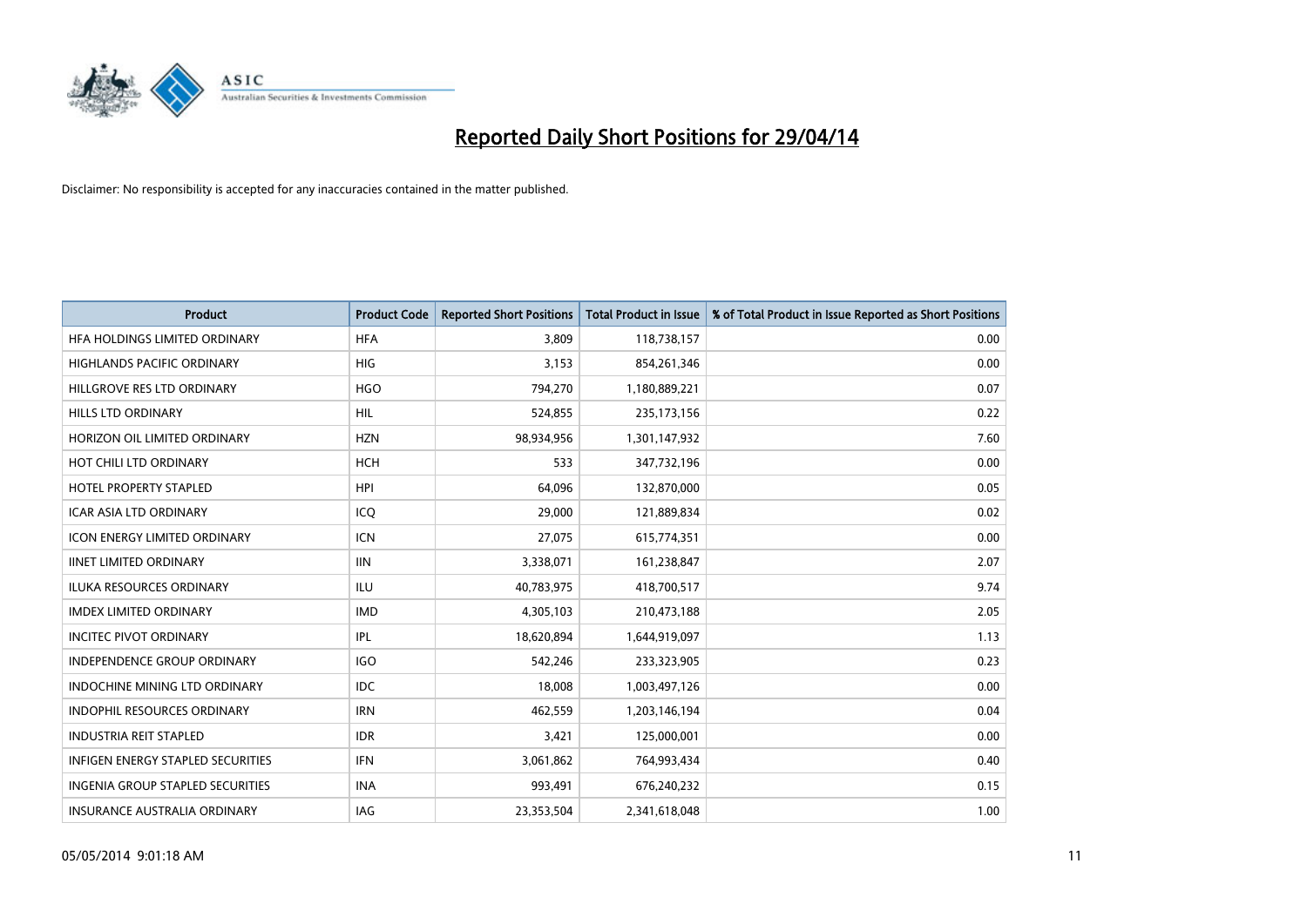

| <b>Product</b>                          | <b>Product Code</b> | <b>Reported Short Positions</b> | <b>Total Product in Issue</b> | % of Total Product in Issue Reported as Short Positions |
|-----------------------------------------|---------------------|---------------------------------|-------------------------------|---------------------------------------------------------|
| HFA HOLDINGS LIMITED ORDINARY           | <b>HFA</b>          | 3,809                           | 118,738,157                   | 0.00                                                    |
| HIGHLANDS PACIFIC ORDINARY              | HIG                 | 3,153                           | 854,261,346                   | 0.00                                                    |
| HILLGROVE RES LTD ORDINARY              | <b>HGO</b>          | 794,270                         | 1,180,889,221                 | 0.07                                                    |
| <b>HILLS LTD ORDINARY</b>               | <b>HIL</b>          | 524,855                         | 235, 173, 156                 | 0.22                                                    |
| HORIZON OIL LIMITED ORDINARY            | <b>HZN</b>          | 98,934,956                      | 1,301,147,932                 | 7.60                                                    |
| HOT CHILI LTD ORDINARY                  | <b>HCH</b>          | 533                             | 347,732,196                   | 0.00                                                    |
| <b>HOTEL PROPERTY STAPLED</b>           | <b>HPI</b>          | 64,096                          | 132,870,000                   | 0.05                                                    |
| <b>ICAR ASIA LTD ORDINARY</b>           | ICO                 | 29,000                          | 121,889,834                   | 0.02                                                    |
| <b>ICON ENERGY LIMITED ORDINARY</b>     | <b>ICN</b>          | 27,075                          | 615,774,351                   | 0.00                                                    |
| <b>IINET LIMITED ORDINARY</b>           | <b>IIN</b>          | 3,338,071                       | 161,238,847                   | 2.07                                                    |
| ILUKA RESOURCES ORDINARY                | ILU                 | 40,783,975                      | 418,700,517                   | 9.74                                                    |
| <b>IMDEX LIMITED ORDINARY</b>           | <b>IMD</b>          | 4,305,103                       | 210,473,188                   | 2.05                                                    |
| <b>INCITEC PIVOT ORDINARY</b>           | IPL                 | 18,620,894                      | 1,644,919,097                 | 1.13                                                    |
| <b>INDEPENDENCE GROUP ORDINARY</b>      | <b>IGO</b>          | 542,246                         | 233,323,905                   | 0.23                                                    |
| <b>INDOCHINE MINING LTD ORDINARY</b>    | <b>IDC</b>          | 18,008                          | 1,003,497,126                 | 0.00                                                    |
| INDOPHIL RESOURCES ORDINARY             | <b>IRN</b>          | 462,559                         | 1,203,146,194                 | 0.04                                                    |
| <b>INDUSTRIA REIT STAPLED</b>           | <b>IDR</b>          | 3,421                           | 125,000,001                   | 0.00                                                    |
| INFIGEN ENERGY STAPLED SECURITIES       | <b>IFN</b>          | 3,061,862                       | 764,993,434                   | 0.40                                                    |
| <b>INGENIA GROUP STAPLED SECURITIES</b> | <b>INA</b>          | 993,491                         | 676,240,232                   | 0.15                                                    |
| INSURANCE AUSTRALIA ORDINARY            | IAG                 | 23,353,504                      | 2,341,618,048                 | 1.00                                                    |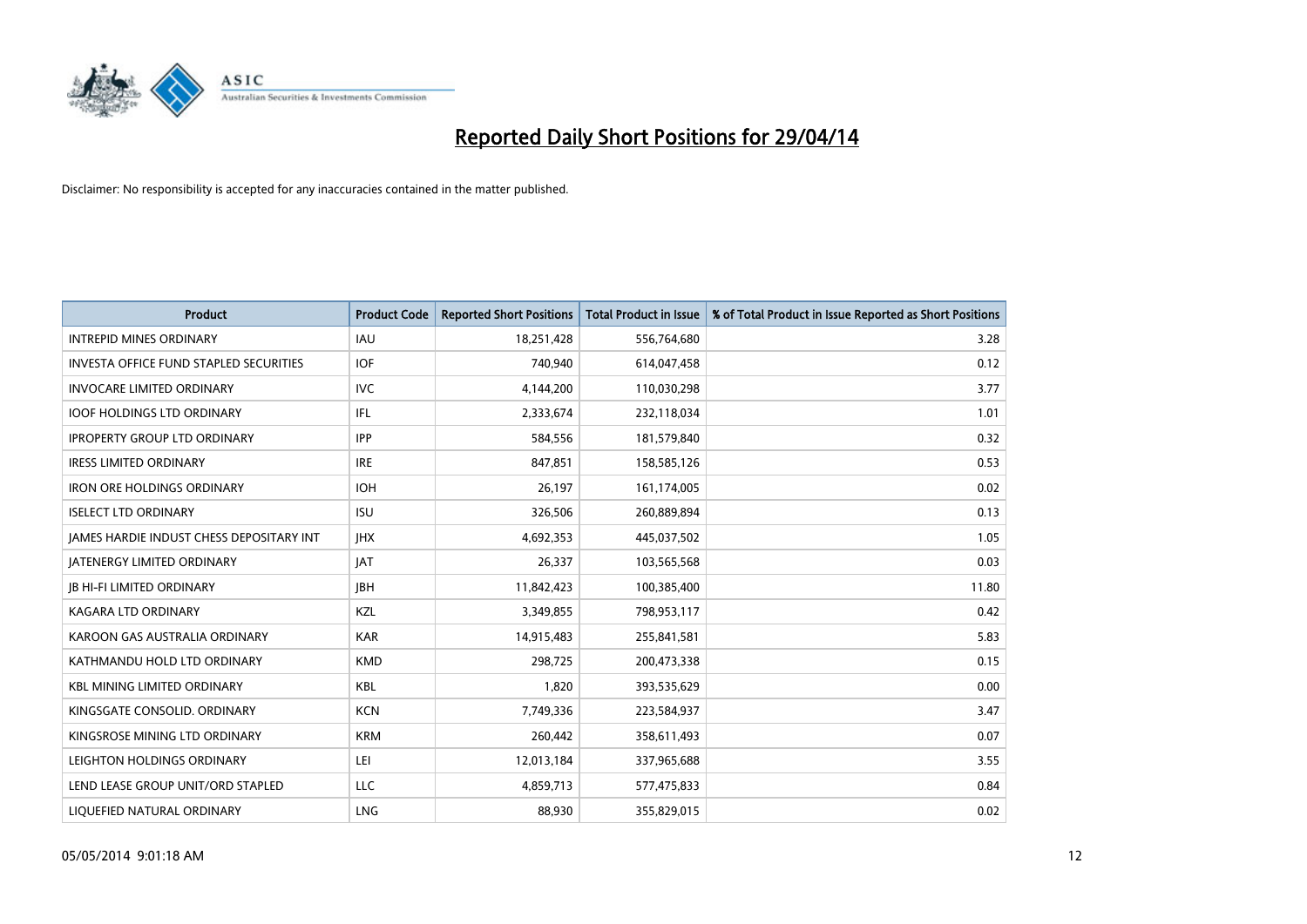

| <b>Product</b>                           | <b>Product Code</b> | <b>Reported Short Positions</b> | <b>Total Product in Issue</b> | % of Total Product in Issue Reported as Short Positions |
|------------------------------------------|---------------------|---------------------------------|-------------------------------|---------------------------------------------------------|
| <b>INTREPID MINES ORDINARY</b>           | IAU                 | 18,251,428                      | 556,764,680                   | 3.28                                                    |
| INVESTA OFFICE FUND STAPLED SECURITIES   | <b>IOF</b>          | 740,940                         | 614,047,458                   | 0.12                                                    |
| <b>INVOCARE LIMITED ORDINARY</b>         | <b>IVC</b>          | 4,144,200                       | 110,030,298                   | 3.77                                                    |
| <b>IOOF HOLDINGS LTD ORDINARY</b>        | IFL                 | 2,333,674                       | 232,118,034                   | 1.01                                                    |
| <b>IPROPERTY GROUP LTD ORDINARY</b>      | <b>IPP</b>          | 584,556                         | 181,579,840                   | 0.32                                                    |
| <b>IRESS LIMITED ORDINARY</b>            | <b>IRE</b>          | 847,851                         | 158,585,126                   | 0.53                                                    |
| <b>IRON ORE HOLDINGS ORDINARY</b>        | <b>IOH</b>          | 26,197                          | 161,174,005                   | 0.02                                                    |
| <b>ISELECT LTD ORDINARY</b>              | <b>ISU</b>          | 326,506                         | 260,889,894                   | 0.13                                                    |
| JAMES HARDIE INDUST CHESS DEPOSITARY INT | <b>IHX</b>          | 4,692,353                       | 445,037,502                   | 1.05                                                    |
| <b>JATENERGY LIMITED ORDINARY</b>        | <b>JAT</b>          | 26,337                          | 103,565,568                   | 0.03                                                    |
| <b>JB HI-FI LIMITED ORDINARY</b>         | <b>JBH</b>          | 11,842,423                      | 100,385,400                   | 11.80                                                   |
| KAGARA LTD ORDINARY                      | KZL                 | 3,349,855                       | 798,953,117                   | 0.42                                                    |
| KAROON GAS AUSTRALIA ORDINARY            | <b>KAR</b>          | 14,915,483                      | 255,841,581                   | 5.83                                                    |
| KATHMANDU HOLD LTD ORDINARY              | <b>KMD</b>          | 298,725                         | 200,473,338                   | 0.15                                                    |
| <b>KBL MINING LIMITED ORDINARY</b>       | <b>KBL</b>          | 1,820                           | 393,535,629                   | 0.00                                                    |
| KINGSGATE CONSOLID. ORDINARY             | <b>KCN</b>          | 7,749,336                       | 223,584,937                   | 3.47                                                    |
| KINGSROSE MINING LTD ORDINARY            | <b>KRM</b>          | 260,442                         | 358,611,493                   | 0.07                                                    |
| LEIGHTON HOLDINGS ORDINARY               | LEI                 | 12,013,184                      | 337,965,688                   | 3.55                                                    |
| LEND LEASE GROUP UNIT/ORD STAPLED        | <b>LLC</b>          | 4,859,713                       | 577,475,833                   | 0.84                                                    |
| LIQUEFIED NATURAL ORDINARY               | <b>LNG</b>          | 88,930                          | 355,829,015                   | 0.02                                                    |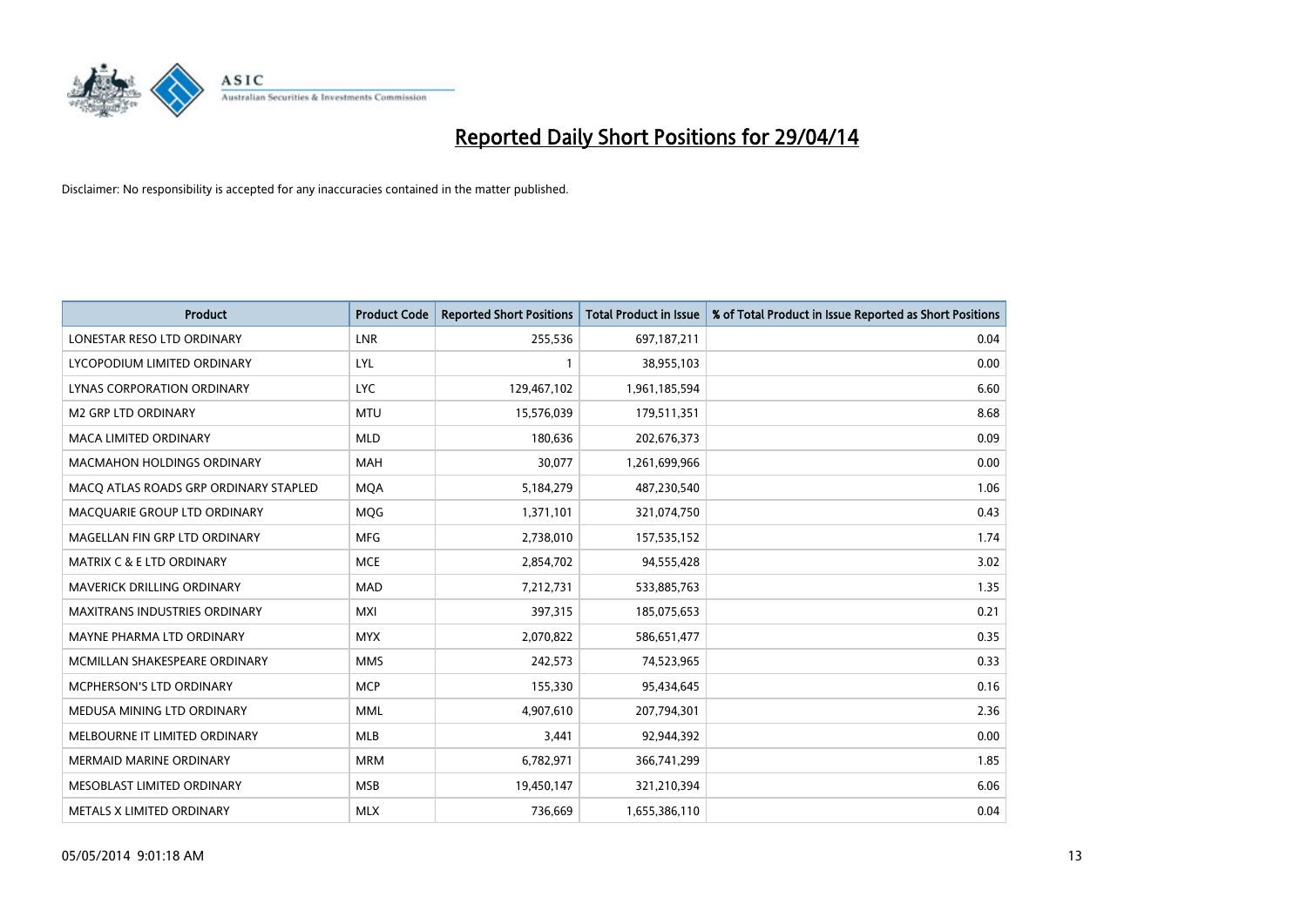

| <b>Product</b>                        | <b>Product Code</b> | <b>Reported Short Positions</b> | <b>Total Product in Issue</b> | % of Total Product in Issue Reported as Short Positions |
|---------------------------------------|---------------------|---------------------------------|-------------------------------|---------------------------------------------------------|
| LONESTAR RESO LTD ORDINARY            | <b>LNR</b>          | 255,536                         | 697,187,211                   | 0.04                                                    |
| LYCOPODIUM LIMITED ORDINARY           | LYL                 | 1                               | 38,955,103                    | 0.00                                                    |
| <b>LYNAS CORPORATION ORDINARY</b>     | <b>LYC</b>          | 129,467,102                     | 1,961,185,594                 | 6.60                                                    |
| M2 GRP LTD ORDINARY                   | <b>MTU</b>          | 15,576,039                      | 179,511,351                   | 8.68                                                    |
| <b>MACA LIMITED ORDINARY</b>          | <b>MLD</b>          | 180,636                         | 202,676,373                   | 0.09                                                    |
| <b>MACMAHON HOLDINGS ORDINARY</b>     | <b>MAH</b>          | 30,077                          | 1,261,699,966                 | 0.00                                                    |
| MACO ATLAS ROADS GRP ORDINARY STAPLED | <b>MOA</b>          | 5,184,279                       | 487,230,540                   | 1.06                                                    |
| MACQUARIE GROUP LTD ORDINARY          | MQG                 | 1,371,101                       | 321,074,750                   | 0.43                                                    |
| MAGELLAN FIN GRP LTD ORDINARY         | <b>MFG</b>          | 2,738,010                       | 157,535,152                   | 1.74                                                    |
| <b>MATRIX C &amp; E LTD ORDINARY</b>  | <b>MCE</b>          | 2,854,702                       | 94,555,428                    | 3.02                                                    |
| MAVERICK DRILLING ORDINARY            | <b>MAD</b>          | 7,212,731                       | 533,885,763                   | 1.35                                                    |
| <b>MAXITRANS INDUSTRIES ORDINARY</b>  | <b>MXI</b>          | 397,315                         | 185,075,653                   | 0.21                                                    |
| MAYNE PHARMA LTD ORDINARY             | <b>MYX</b>          | 2,070,822                       | 586,651,477                   | 0.35                                                    |
| MCMILLAN SHAKESPEARE ORDINARY         | <b>MMS</b>          | 242,573                         | 74,523,965                    | 0.33                                                    |
| MCPHERSON'S LTD ORDINARY              | <b>MCP</b>          | 155,330                         | 95,434,645                    | 0.16                                                    |
| MEDUSA MINING LTD ORDINARY            | MML                 | 4,907,610                       | 207,794,301                   | 2.36                                                    |
| MELBOURNE IT LIMITED ORDINARY         | MLB                 | 3,441                           | 92,944,392                    | 0.00                                                    |
| <b>MERMAID MARINE ORDINARY</b>        | <b>MRM</b>          | 6,782,971                       | 366,741,299                   | 1.85                                                    |
| MESOBLAST LIMITED ORDINARY            | <b>MSB</b>          | 19,450,147                      | 321,210,394                   | 6.06                                                    |
| METALS X LIMITED ORDINARY             | <b>MLX</b>          | 736,669                         | 1,655,386,110                 | 0.04                                                    |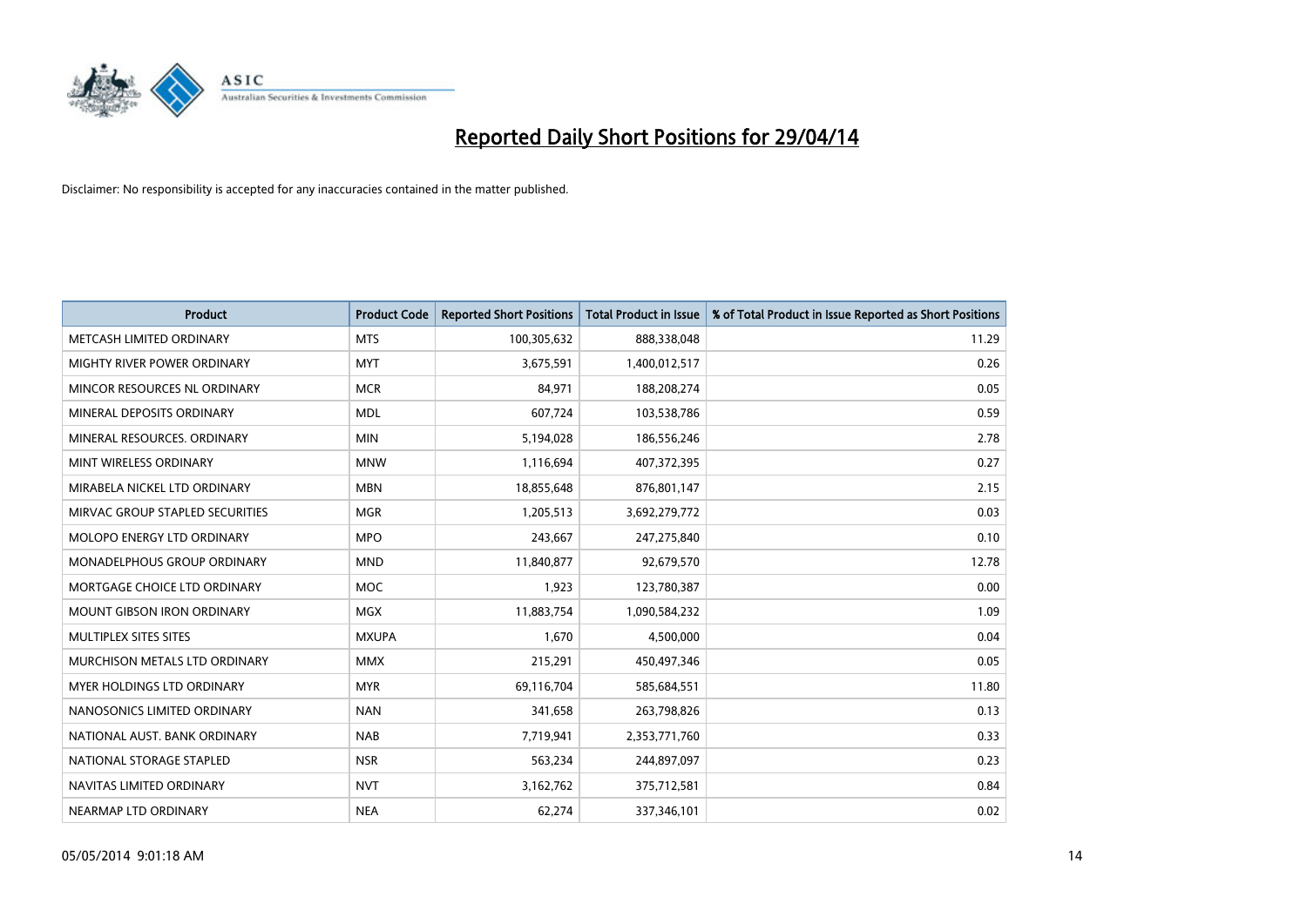

| <b>Product</b>                    | <b>Product Code</b> | <b>Reported Short Positions</b> | <b>Total Product in Issue</b> | % of Total Product in Issue Reported as Short Positions |
|-----------------------------------|---------------------|---------------------------------|-------------------------------|---------------------------------------------------------|
| METCASH LIMITED ORDINARY          | <b>MTS</b>          | 100,305,632                     | 888,338,048                   | 11.29                                                   |
| MIGHTY RIVER POWER ORDINARY       | <b>MYT</b>          | 3,675,591                       | 1,400,012,517                 | 0.26                                                    |
| MINCOR RESOURCES NL ORDINARY      | <b>MCR</b>          | 84,971                          | 188,208,274                   | 0.05                                                    |
| MINERAL DEPOSITS ORDINARY         | <b>MDL</b>          | 607,724                         | 103,538,786                   | 0.59                                                    |
| MINERAL RESOURCES, ORDINARY       | <b>MIN</b>          | 5,194,028                       | 186,556,246                   | 2.78                                                    |
| MINT WIRELESS ORDINARY            | <b>MNW</b>          | 1,116,694                       | 407,372,395                   | 0.27                                                    |
| MIRABELA NICKEL LTD ORDINARY      | <b>MBN</b>          | 18,855,648                      | 876,801,147                   | 2.15                                                    |
| MIRVAC GROUP STAPLED SECURITIES   | <b>MGR</b>          | 1,205,513                       | 3,692,279,772                 | 0.03                                                    |
| MOLOPO ENERGY LTD ORDINARY        | <b>MPO</b>          | 243,667                         | 247,275,840                   | 0.10                                                    |
| MONADELPHOUS GROUP ORDINARY       | <b>MND</b>          | 11,840,877                      | 92,679,570                    | 12.78                                                   |
| MORTGAGE CHOICE LTD ORDINARY      | MOC                 | 1,923                           | 123,780,387                   | 0.00                                                    |
| <b>MOUNT GIBSON IRON ORDINARY</b> | <b>MGX</b>          | 11,883,754                      | 1,090,584,232                 | 1.09                                                    |
| MULTIPLEX SITES SITES             | <b>MXUPA</b>        | 1,670                           | 4,500,000                     | 0.04                                                    |
| MURCHISON METALS LTD ORDINARY     | <b>MMX</b>          | 215,291                         | 450,497,346                   | 0.05                                                    |
| <b>MYER HOLDINGS LTD ORDINARY</b> | <b>MYR</b>          | 69,116,704                      | 585,684,551                   | 11.80                                                   |
| NANOSONICS LIMITED ORDINARY       | <b>NAN</b>          | 341,658                         | 263,798,826                   | 0.13                                                    |
| NATIONAL AUST. BANK ORDINARY      | <b>NAB</b>          | 7,719,941                       | 2,353,771,760                 | 0.33                                                    |
| NATIONAL STORAGE STAPLED          | <b>NSR</b>          | 563,234                         | 244,897,097                   | 0.23                                                    |
| NAVITAS LIMITED ORDINARY          | <b>NVT</b>          | 3,162,762                       | 375,712,581                   | 0.84                                                    |
| NEARMAP LTD ORDINARY              | <b>NEA</b>          | 62,274                          | 337,346,101                   | 0.02                                                    |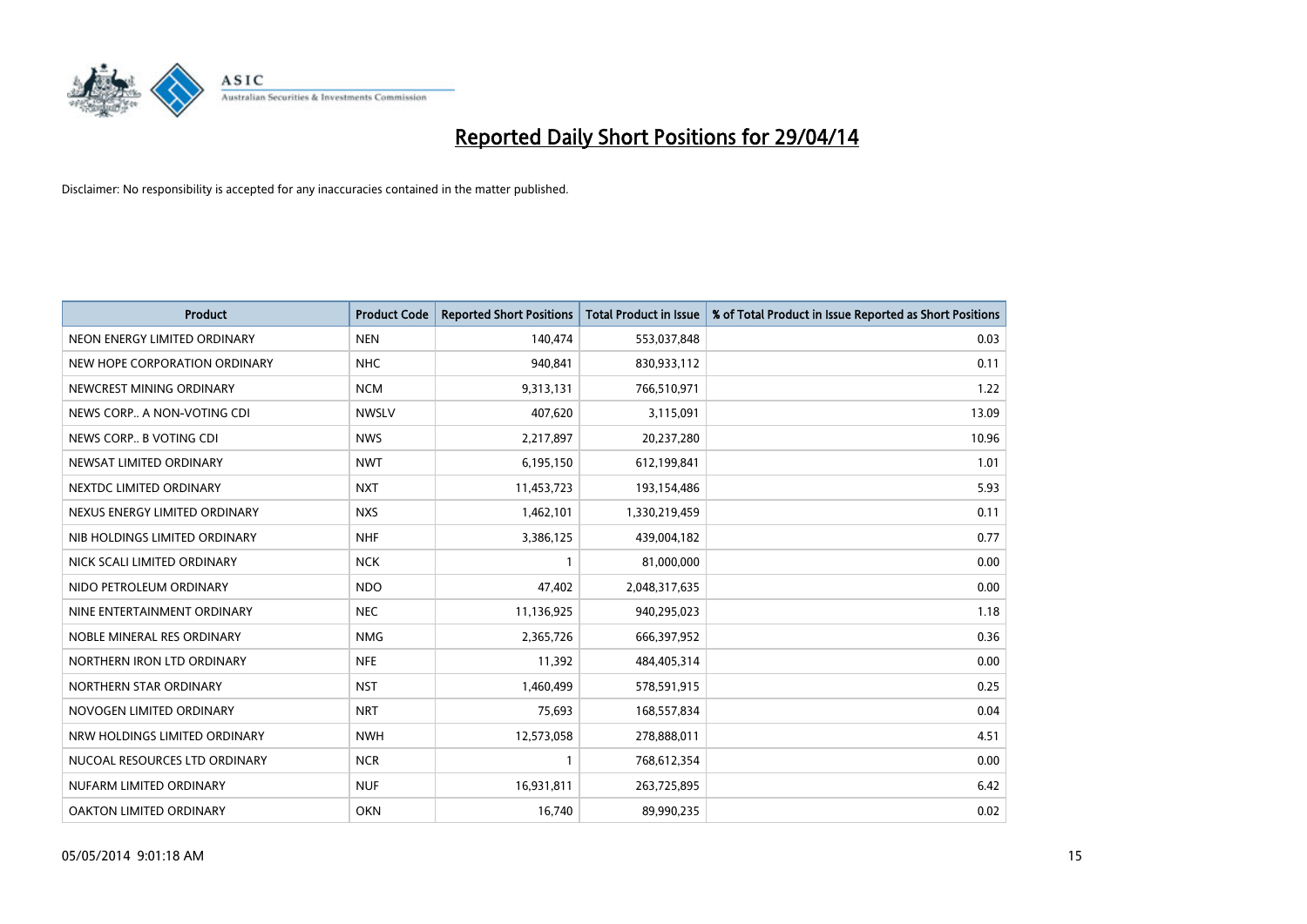

| <b>Product</b>                | <b>Product Code</b> | <b>Reported Short Positions</b> | <b>Total Product in Issue</b> | % of Total Product in Issue Reported as Short Positions |
|-------------------------------|---------------------|---------------------------------|-------------------------------|---------------------------------------------------------|
| NEON ENERGY LIMITED ORDINARY  | <b>NEN</b>          | 140,474                         | 553,037,848                   | 0.03                                                    |
| NEW HOPE CORPORATION ORDINARY | <b>NHC</b>          | 940,841                         | 830,933,112                   | 0.11                                                    |
| NEWCREST MINING ORDINARY      | <b>NCM</b>          | 9,313,131                       | 766,510,971                   | 1.22                                                    |
| NEWS CORP A NON-VOTING CDI    | <b>NWSLV</b>        | 407,620                         | 3,115,091                     | 13.09                                                   |
| NEWS CORP B VOTING CDI        | <b>NWS</b>          | 2,217,897                       | 20,237,280                    | 10.96                                                   |
| NEWSAT LIMITED ORDINARY       | <b>NWT</b>          | 6,195,150                       | 612,199,841                   | 1.01                                                    |
| NEXTDC LIMITED ORDINARY       | <b>NXT</b>          | 11,453,723                      | 193,154,486                   | 5.93                                                    |
| NEXUS ENERGY LIMITED ORDINARY | <b>NXS</b>          | 1,462,101                       | 1,330,219,459                 | 0.11                                                    |
| NIB HOLDINGS LIMITED ORDINARY | <b>NHF</b>          | 3,386,125                       | 439,004,182                   | 0.77                                                    |
| NICK SCALI LIMITED ORDINARY   | <b>NCK</b>          | $\mathbf{1}$                    | 81,000,000                    | 0.00                                                    |
| NIDO PETROLEUM ORDINARY       | <b>NDO</b>          | 47,402                          | 2,048,317,635                 | 0.00                                                    |
| NINE ENTERTAINMENT ORDINARY   | <b>NEC</b>          | 11,136,925                      | 940,295,023                   | 1.18                                                    |
| NOBLE MINERAL RES ORDINARY    | <b>NMG</b>          | 2,365,726                       | 666,397,952                   | 0.36                                                    |
| NORTHERN IRON LTD ORDINARY    | <b>NFE</b>          | 11,392                          | 484,405,314                   | 0.00                                                    |
| NORTHERN STAR ORDINARY        | <b>NST</b>          | 1,460,499                       | 578,591,915                   | 0.25                                                    |
| NOVOGEN LIMITED ORDINARY      | <b>NRT</b>          | 75,693                          | 168,557,834                   | 0.04                                                    |
| NRW HOLDINGS LIMITED ORDINARY | <b>NWH</b>          | 12,573,058                      | 278,888,011                   | 4.51                                                    |
| NUCOAL RESOURCES LTD ORDINARY | <b>NCR</b>          | 1                               | 768,612,354                   | 0.00                                                    |
| NUFARM LIMITED ORDINARY       | <b>NUF</b>          | 16,931,811                      | 263,725,895                   | 6.42                                                    |
| OAKTON LIMITED ORDINARY       | <b>OKN</b>          | 16,740                          | 89,990,235                    | 0.02                                                    |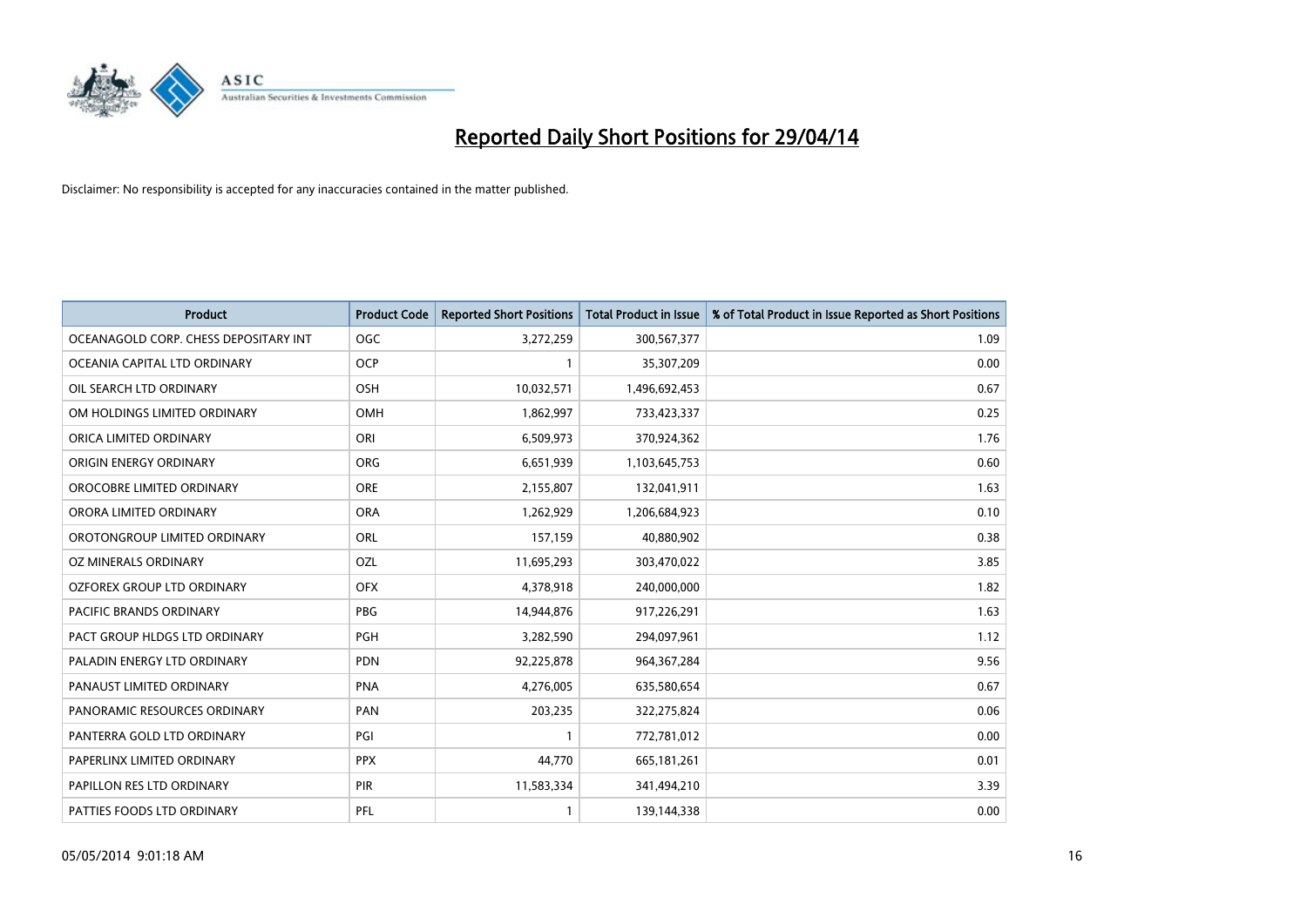

| <b>Product</b>                        | <b>Product Code</b> | <b>Reported Short Positions</b> | <b>Total Product in Issue</b> | % of Total Product in Issue Reported as Short Positions |
|---------------------------------------|---------------------|---------------------------------|-------------------------------|---------------------------------------------------------|
| OCEANAGOLD CORP. CHESS DEPOSITARY INT | <b>OGC</b>          | 3,272,259                       | 300,567,377                   | 1.09                                                    |
| OCEANIA CAPITAL LTD ORDINARY          | <b>OCP</b>          |                                 | 35,307,209                    | 0.00                                                    |
| OIL SEARCH LTD ORDINARY               | <b>OSH</b>          | 10,032,571                      | 1,496,692,453                 | 0.67                                                    |
| OM HOLDINGS LIMITED ORDINARY          | OMH                 | 1,862,997                       | 733,423,337                   | 0.25                                                    |
| ORICA LIMITED ORDINARY                | ORI                 | 6,509,973                       | 370,924,362                   | 1.76                                                    |
| ORIGIN ENERGY ORDINARY                | <b>ORG</b>          | 6,651,939                       | 1,103,645,753                 | 0.60                                                    |
| OROCOBRE LIMITED ORDINARY             | <b>ORE</b>          | 2,155,807                       | 132,041,911                   | 1.63                                                    |
| ORORA LIMITED ORDINARY                | <b>ORA</b>          | 1,262,929                       | 1,206,684,923                 | 0.10                                                    |
| OROTONGROUP LIMITED ORDINARY          | ORL                 | 157,159                         | 40,880,902                    | 0.38                                                    |
| <b>OZ MINERALS ORDINARY</b>           | OZL                 | 11,695,293                      | 303,470,022                   | 3.85                                                    |
| OZFOREX GROUP LTD ORDINARY            | <b>OFX</b>          | 4,378,918                       | 240,000,000                   | 1.82                                                    |
| PACIFIC BRANDS ORDINARY               | <b>PBG</b>          | 14,944,876                      | 917,226,291                   | 1.63                                                    |
| PACT GROUP HLDGS LTD ORDINARY         | PGH                 | 3,282,590                       | 294,097,961                   | 1.12                                                    |
| PALADIN ENERGY LTD ORDINARY           | <b>PDN</b>          | 92,225,878                      | 964, 367, 284                 | 9.56                                                    |
| PANAUST LIMITED ORDINARY              | <b>PNA</b>          | 4,276,005                       | 635,580,654                   | 0.67                                                    |
| PANORAMIC RESOURCES ORDINARY          | PAN                 | 203,235                         | 322,275,824                   | 0.06                                                    |
| PANTERRA GOLD LTD ORDINARY            | PGI                 | 1                               | 772,781,012                   | 0.00                                                    |
| PAPERLINX LIMITED ORDINARY            | <b>PPX</b>          | 44,770                          | 665, 181, 261                 | 0.01                                                    |
| PAPILLON RES LTD ORDINARY             | PIR                 | 11,583,334                      | 341,494,210                   | 3.39                                                    |
| PATTIES FOODS LTD ORDINARY            | PFL                 |                                 | 139,144,338                   | 0.00                                                    |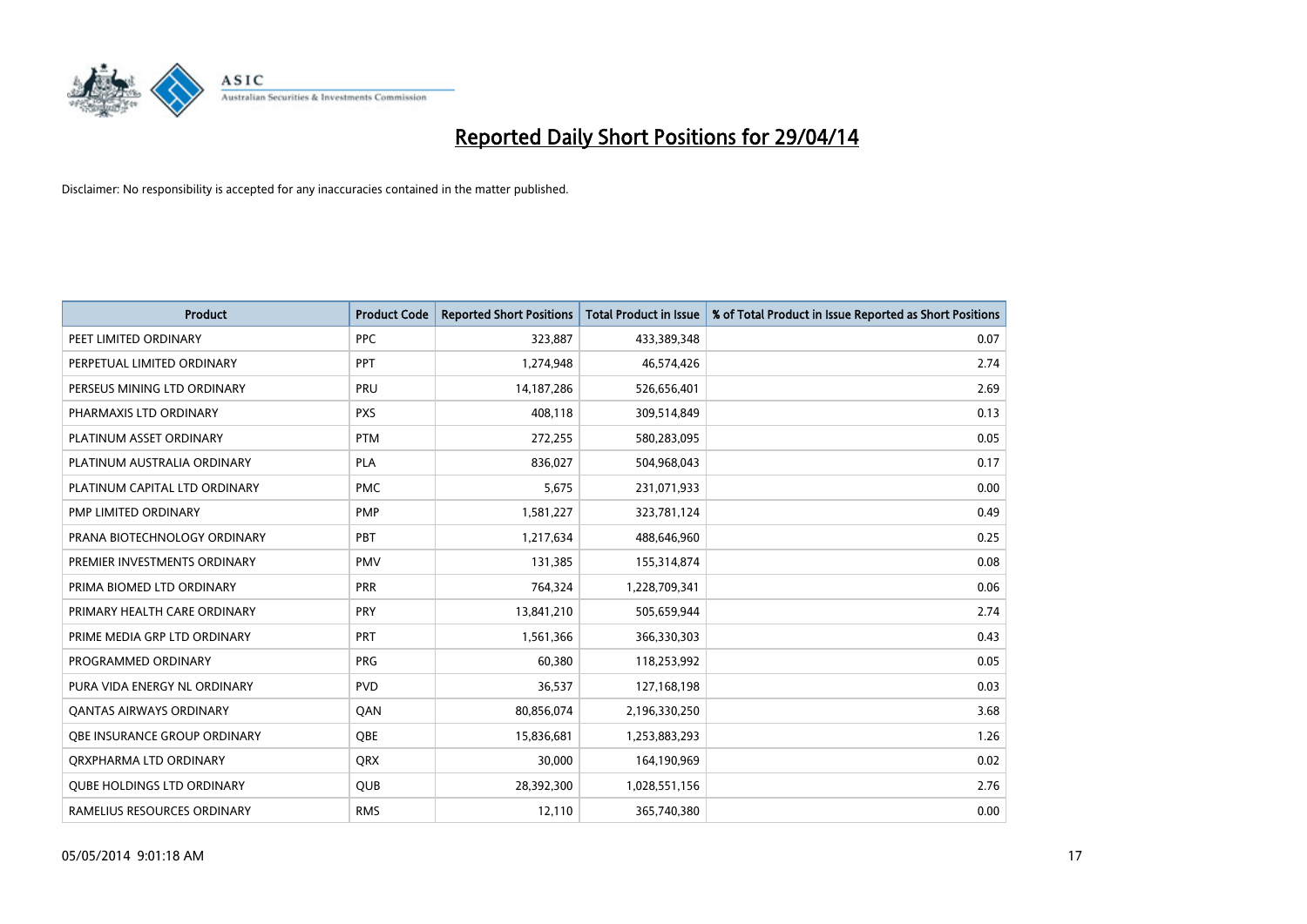

| <b>Product</b>                    | <b>Product Code</b> | <b>Reported Short Positions</b> | <b>Total Product in Issue</b> | % of Total Product in Issue Reported as Short Positions |
|-----------------------------------|---------------------|---------------------------------|-------------------------------|---------------------------------------------------------|
| PEET LIMITED ORDINARY             | <b>PPC</b>          | 323,887                         | 433,389,348                   | 0.07                                                    |
| PERPETUAL LIMITED ORDINARY        | <b>PPT</b>          | 1,274,948                       | 46,574,426                    | 2.74                                                    |
| PERSEUS MINING LTD ORDINARY       | <b>PRU</b>          | 14, 187, 286                    | 526,656,401                   | 2.69                                                    |
| PHARMAXIS LTD ORDINARY            | <b>PXS</b>          | 408,118                         | 309,514,849                   | 0.13                                                    |
| PLATINUM ASSET ORDINARY           | <b>PTM</b>          | 272,255                         | 580,283,095                   | 0.05                                                    |
| PLATINUM AUSTRALIA ORDINARY       | <b>PLA</b>          | 836,027                         | 504,968,043                   | 0.17                                                    |
| PLATINUM CAPITAL LTD ORDINARY     | <b>PMC</b>          | 5,675                           | 231,071,933                   | 0.00                                                    |
| PMP LIMITED ORDINARY              | <b>PMP</b>          | 1,581,227                       | 323,781,124                   | 0.49                                                    |
| PRANA BIOTECHNOLOGY ORDINARY      | PBT                 | 1,217,634                       | 488,646,960                   | 0.25                                                    |
| PREMIER INVESTMENTS ORDINARY      | <b>PMV</b>          | 131,385                         | 155,314,874                   | 0.08                                                    |
| PRIMA BIOMED LTD ORDINARY         | <b>PRR</b>          | 764,324                         | 1,228,709,341                 | 0.06                                                    |
| PRIMARY HEALTH CARE ORDINARY      | <b>PRY</b>          | 13,841,210                      | 505,659,944                   | 2.74                                                    |
| PRIME MEDIA GRP LTD ORDINARY      | <b>PRT</b>          | 1,561,366                       | 366,330,303                   | 0.43                                                    |
| PROGRAMMED ORDINARY               | <b>PRG</b>          | 60,380                          | 118,253,992                   | 0.05                                                    |
| PURA VIDA ENERGY NL ORDINARY      | <b>PVD</b>          | 36,537                          | 127,168,198                   | 0.03                                                    |
| <b>QANTAS AIRWAYS ORDINARY</b>    | QAN                 | 80,856,074                      | 2,196,330,250                 | 3.68                                                    |
| OBE INSURANCE GROUP ORDINARY      | <b>OBE</b>          | 15,836,681                      | 1,253,883,293                 | 1.26                                                    |
| ORXPHARMA LTD ORDINARY            | QRX                 | 30,000                          | 164,190,969                   | 0.02                                                    |
| <b>QUBE HOLDINGS LTD ORDINARY</b> | <b>QUB</b>          | 28,392,300                      | 1,028,551,156                 | 2.76                                                    |
| RAMELIUS RESOURCES ORDINARY       | <b>RMS</b>          | 12,110                          | 365,740,380                   | 0.00                                                    |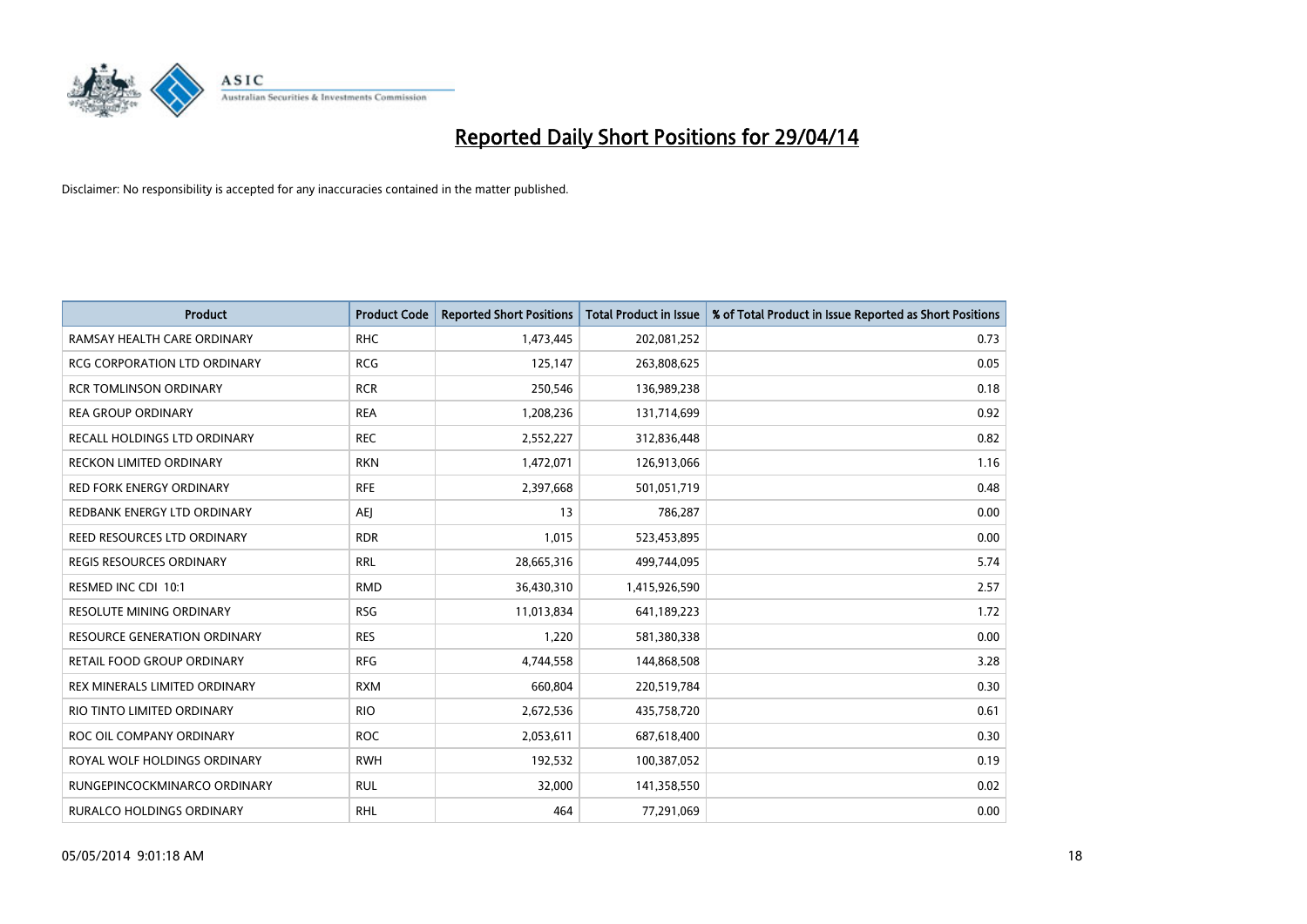

| <b>Product</b>                      | <b>Product Code</b> | <b>Reported Short Positions</b> | <b>Total Product in Issue</b> | % of Total Product in Issue Reported as Short Positions |
|-------------------------------------|---------------------|---------------------------------|-------------------------------|---------------------------------------------------------|
| RAMSAY HEALTH CARE ORDINARY         | <b>RHC</b>          | 1,473,445                       | 202,081,252                   | 0.73                                                    |
| <b>RCG CORPORATION LTD ORDINARY</b> | <b>RCG</b>          | 125,147                         | 263,808,625                   | 0.05                                                    |
| <b>RCR TOMLINSON ORDINARY</b>       | <b>RCR</b>          | 250,546                         | 136,989,238                   | 0.18                                                    |
| <b>REA GROUP ORDINARY</b>           | <b>REA</b>          | 1,208,236                       | 131,714,699                   | 0.92                                                    |
| RECALL HOLDINGS LTD ORDINARY        | <b>REC</b>          | 2,552,227                       | 312,836,448                   | 0.82                                                    |
| <b>RECKON LIMITED ORDINARY</b>      | <b>RKN</b>          | 1,472,071                       | 126,913,066                   | 1.16                                                    |
| <b>RED FORK ENERGY ORDINARY</b>     | <b>RFE</b>          | 2,397,668                       | 501,051,719                   | 0.48                                                    |
| REDBANK ENERGY LTD ORDINARY         | AEJ                 | 13                              | 786,287                       | 0.00                                                    |
| REED RESOURCES LTD ORDINARY         | <b>RDR</b>          | 1,015                           | 523,453,895                   | 0.00                                                    |
| <b>REGIS RESOURCES ORDINARY</b>     | <b>RRL</b>          | 28,665,316                      | 499,744,095                   | 5.74                                                    |
| RESMED INC CDI 10:1                 | <b>RMD</b>          | 36,430,310                      | 1,415,926,590                 | 2.57                                                    |
| RESOLUTE MINING ORDINARY            | <b>RSG</b>          | 11,013,834                      | 641,189,223                   | 1.72                                                    |
| <b>RESOURCE GENERATION ORDINARY</b> | <b>RES</b>          | 1,220                           | 581,380,338                   | 0.00                                                    |
| RETAIL FOOD GROUP ORDINARY          | <b>RFG</b>          | 4,744,558                       | 144,868,508                   | 3.28                                                    |
| REX MINERALS LIMITED ORDINARY       | <b>RXM</b>          | 660,804                         | 220,519,784                   | 0.30                                                    |
| RIO TINTO LIMITED ORDINARY          | <b>RIO</b>          | 2,672,536                       | 435,758,720                   | 0.61                                                    |
| ROC OIL COMPANY ORDINARY            | <b>ROC</b>          | 2,053,611                       | 687,618,400                   | 0.30                                                    |
| ROYAL WOLF HOLDINGS ORDINARY        | <b>RWH</b>          | 192,532                         | 100,387,052                   | 0.19                                                    |
| RUNGEPINCOCKMINARCO ORDINARY        | <b>RUL</b>          | 32,000                          | 141,358,550                   | 0.02                                                    |
| <b>RURALCO HOLDINGS ORDINARY</b>    | <b>RHL</b>          | 464                             | 77,291,069                    | 0.00                                                    |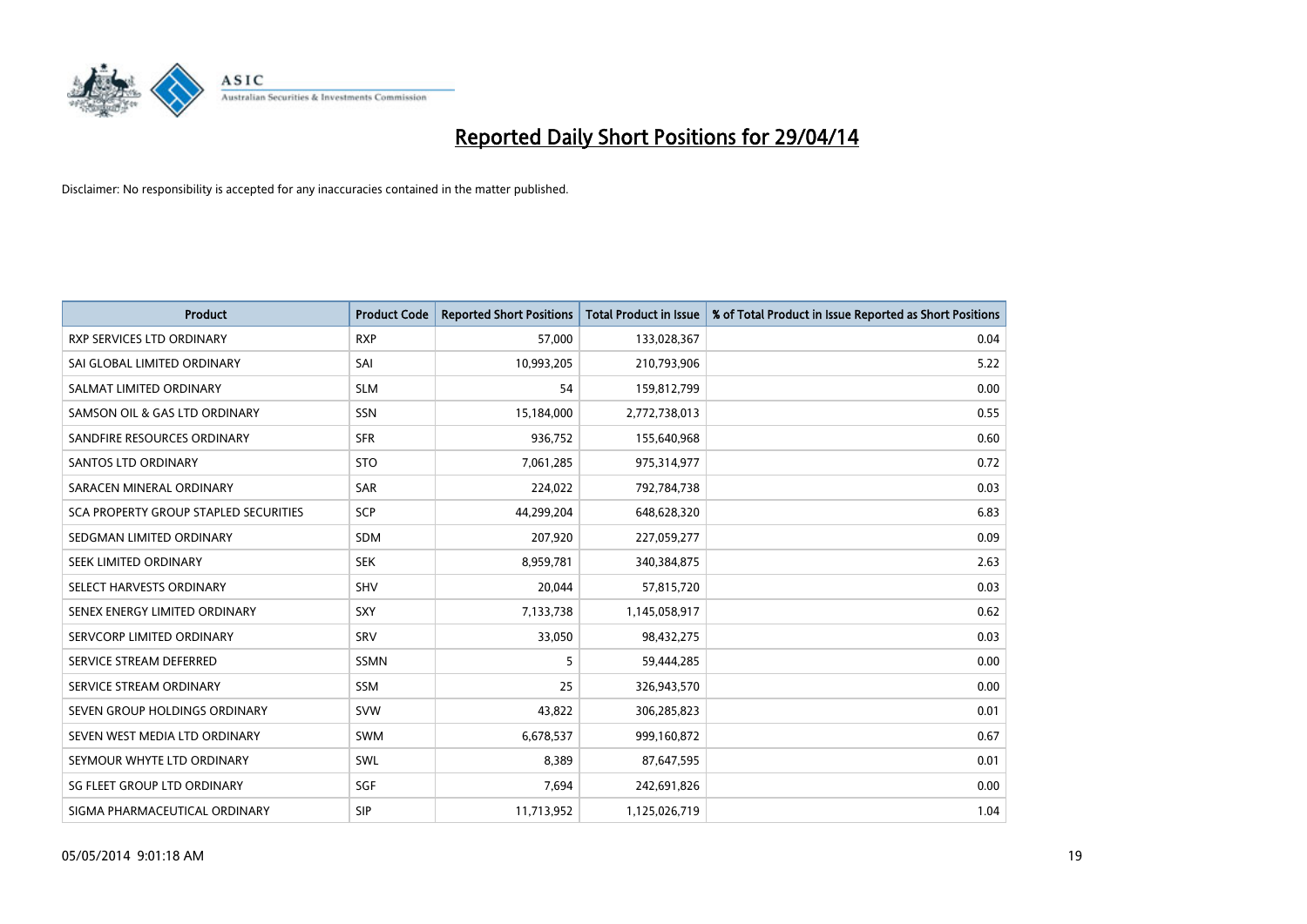

| <b>Product</b>                        | <b>Product Code</b> | <b>Reported Short Positions</b> | <b>Total Product in Issue</b> | % of Total Product in Issue Reported as Short Positions |
|---------------------------------------|---------------------|---------------------------------|-------------------------------|---------------------------------------------------------|
| <b>RXP SERVICES LTD ORDINARY</b>      | <b>RXP</b>          | 57,000                          | 133,028,367                   | 0.04                                                    |
| SAI GLOBAL LIMITED ORDINARY           | SAI                 | 10,993,205                      | 210,793,906                   | 5.22                                                    |
| SALMAT LIMITED ORDINARY               | <b>SLM</b>          | 54                              | 159,812,799                   | 0.00                                                    |
| SAMSON OIL & GAS LTD ORDINARY         | SSN                 | 15,184,000                      | 2,772,738,013                 | 0.55                                                    |
| SANDFIRE RESOURCES ORDINARY           | <b>SFR</b>          | 936,752                         | 155,640,968                   | 0.60                                                    |
| SANTOS LTD ORDINARY                   | <b>STO</b>          | 7,061,285                       | 975,314,977                   | 0.72                                                    |
| SARACEN MINERAL ORDINARY              | <b>SAR</b>          | 224,022                         | 792,784,738                   | 0.03                                                    |
| SCA PROPERTY GROUP STAPLED SECURITIES | <b>SCP</b>          | 44,299,204                      | 648,628,320                   | 6.83                                                    |
| SEDGMAN LIMITED ORDINARY              | <b>SDM</b>          | 207,920                         | 227,059,277                   | 0.09                                                    |
| SEEK LIMITED ORDINARY                 | <b>SEK</b>          | 8,959,781                       | 340,384,875                   | 2.63                                                    |
| SELECT HARVESTS ORDINARY              | SHV                 | 20,044                          | 57,815,720                    | 0.03                                                    |
| SENEX ENERGY LIMITED ORDINARY         | <b>SXY</b>          | 7,133,738                       | 1,145,058,917                 | 0.62                                                    |
| SERVCORP LIMITED ORDINARY             | SRV                 | 33,050                          | 98,432,275                    | 0.03                                                    |
| SERVICE STREAM DEFERRED               | SSMN                | 5                               | 59,444,285                    | 0.00                                                    |
| SERVICE STREAM ORDINARY               | <b>SSM</b>          | 25                              | 326,943,570                   | 0.00                                                    |
| SEVEN GROUP HOLDINGS ORDINARY         | <b>SVW</b>          | 43,822                          | 306,285,823                   | 0.01                                                    |
| SEVEN WEST MEDIA LTD ORDINARY         | SWM                 | 6,678,537                       | 999,160,872                   | 0.67                                                    |
| SEYMOUR WHYTE LTD ORDINARY            | SWL                 | 8,389                           | 87,647,595                    | 0.01                                                    |
| SG FLEET GROUP LTD ORDINARY           | SGF                 | 7,694                           | 242,691,826                   | 0.00                                                    |
| SIGMA PHARMACEUTICAL ORDINARY         | <b>SIP</b>          | 11,713,952                      | 1,125,026,719                 | 1.04                                                    |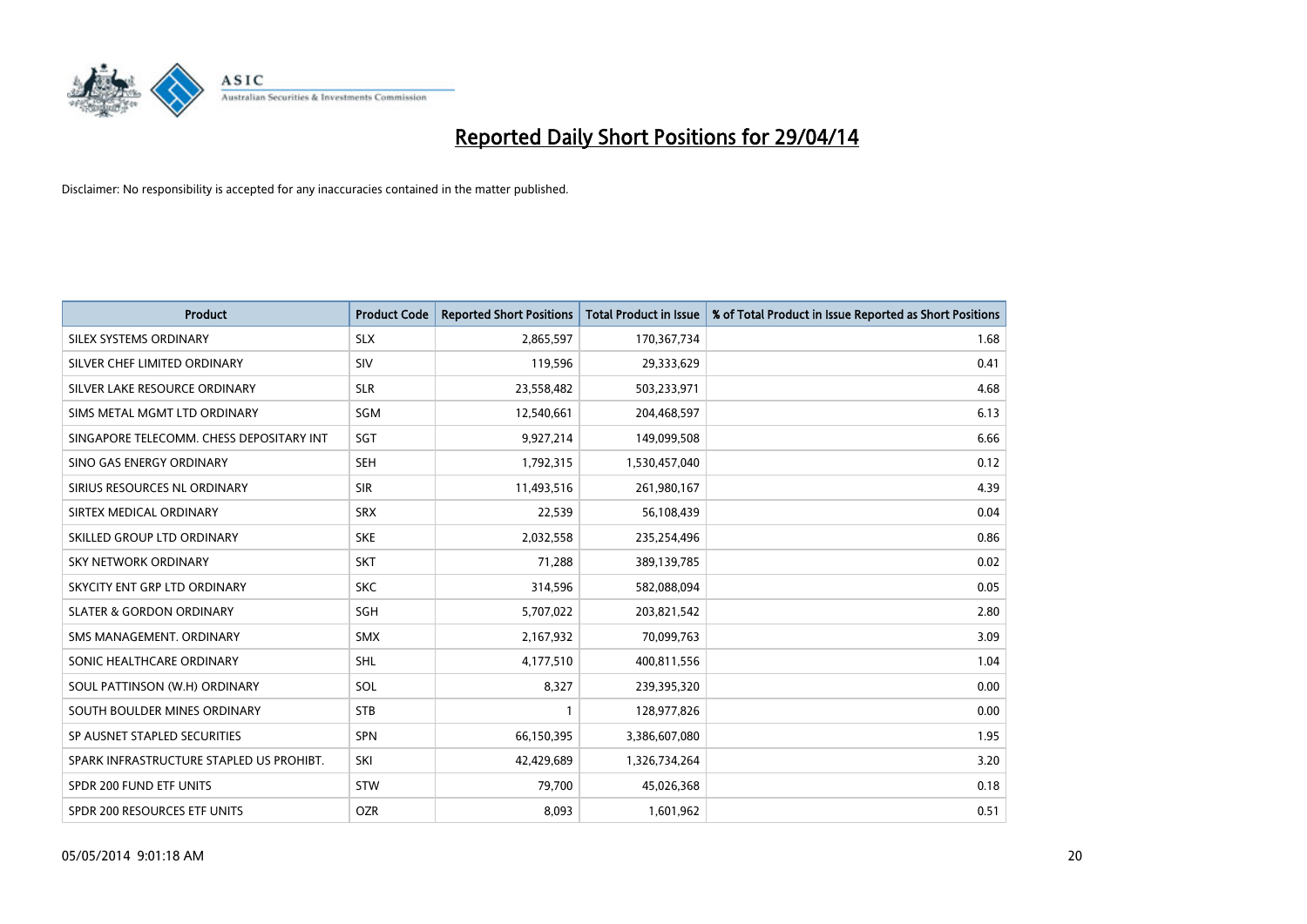

| <b>Product</b>                           | <b>Product Code</b> | <b>Reported Short Positions</b> | <b>Total Product in Issue</b> | % of Total Product in Issue Reported as Short Positions |
|------------------------------------------|---------------------|---------------------------------|-------------------------------|---------------------------------------------------------|
| SILEX SYSTEMS ORDINARY                   | <b>SLX</b>          | 2,865,597                       | 170,367,734                   | 1.68                                                    |
| SILVER CHEF LIMITED ORDINARY             | <b>SIV</b>          | 119,596                         | 29,333,629                    | 0.41                                                    |
| SILVER LAKE RESOURCE ORDINARY            | <b>SLR</b>          | 23,558,482                      | 503,233,971                   | 4.68                                                    |
| SIMS METAL MGMT LTD ORDINARY             | SGM                 | 12,540,661                      | 204,468,597                   | 6.13                                                    |
| SINGAPORE TELECOMM. CHESS DEPOSITARY INT | SGT                 | 9,927,214                       | 149,099,508                   | 6.66                                                    |
| SINO GAS ENERGY ORDINARY                 | <b>SEH</b>          | 1,792,315                       | 1,530,457,040                 | 0.12                                                    |
| SIRIUS RESOURCES NL ORDINARY             | <b>SIR</b>          | 11,493,516                      | 261,980,167                   | 4.39                                                    |
| SIRTEX MEDICAL ORDINARY                  | <b>SRX</b>          | 22,539                          | 56,108,439                    | 0.04                                                    |
| SKILLED GROUP LTD ORDINARY               | <b>SKE</b>          | 2,032,558                       | 235,254,496                   | 0.86                                                    |
| <b>SKY NETWORK ORDINARY</b>              | <b>SKT</b>          | 71,288                          | 389,139,785                   | 0.02                                                    |
| SKYCITY ENT GRP LTD ORDINARY             | <b>SKC</b>          | 314,596                         | 582,088,094                   | 0.05                                                    |
| <b>SLATER &amp; GORDON ORDINARY</b>      | SGH                 | 5,707,022                       | 203,821,542                   | 2.80                                                    |
| SMS MANAGEMENT, ORDINARY                 | <b>SMX</b>          | 2,167,932                       | 70,099,763                    | 3.09                                                    |
| SONIC HEALTHCARE ORDINARY                | SHL                 | 4,177,510                       | 400,811,556                   | 1.04                                                    |
| SOUL PATTINSON (W.H) ORDINARY            | SOL                 | 8,327                           | 239,395,320                   | 0.00                                                    |
| SOUTH BOULDER MINES ORDINARY             | <b>STB</b>          |                                 | 128,977,826                   | 0.00                                                    |
| SP AUSNET STAPLED SECURITIES             | <b>SPN</b>          | 66,150,395                      | 3,386,607,080                 | 1.95                                                    |
| SPARK INFRASTRUCTURE STAPLED US PROHIBT. | SKI                 | 42,429,689                      | 1,326,734,264                 | 3.20                                                    |
| SPDR 200 FUND ETF UNITS                  | <b>STW</b>          | 79,700                          | 45,026,368                    | 0.18                                                    |
| SPDR 200 RESOURCES ETF UNITS             | <b>OZR</b>          | 8,093                           | 1,601,962                     | 0.51                                                    |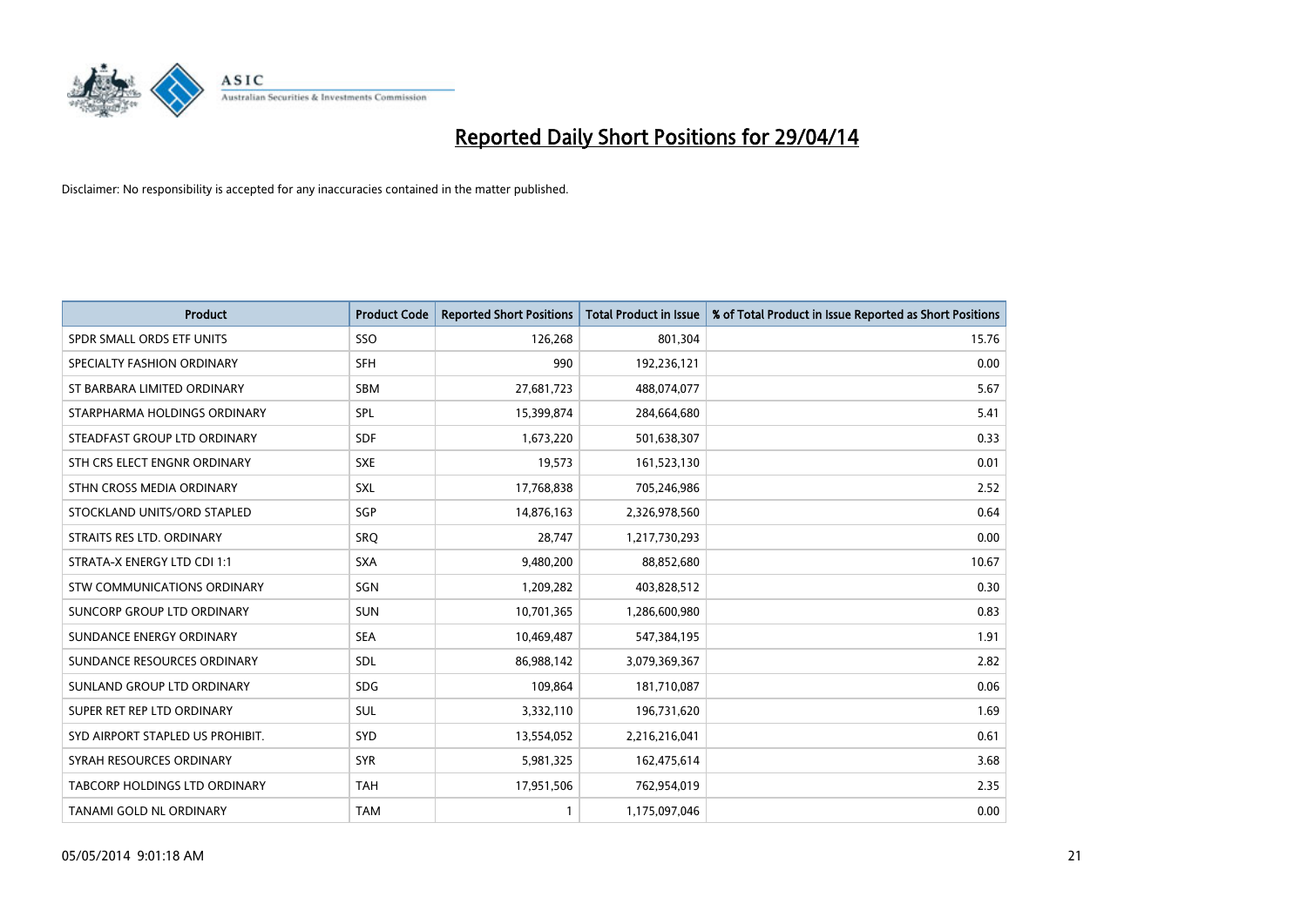

| <b>Product</b>                   | <b>Product Code</b> | <b>Reported Short Positions</b> | <b>Total Product in Issue</b> | % of Total Product in Issue Reported as Short Positions |
|----------------------------------|---------------------|---------------------------------|-------------------------------|---------------------------------------------------------|
| SPDR SMALL ORDS ETF UNITS        | SSO                 | 126,268                         | 801,304                       | 15.76                                                   |
| SPECIALTY FASHION ORDINARY       | <b>SFH</b>          | 990                             | 192,236,121                   | 0.00                                                    |
| ST BARBARA LIMITED ORDINARY      | <b>SBM</b>          | 27,681,723                      | 488,074,077                   | 5.67                                                    |
| STARPHARMA HOLDINGS ORDINARY     | <b>SPL</b>          | 15,399,874                      | 284,664,680                   | 5.41                                                    |
| STEADFAST GROUP LTD ORDINARY     | <b>SDF</b>          | 1,673,220                       | 501,638,307                   | 0.33                                                    |
| STH CRS ELECT ENGNR ORDINARY     | <b>SXE</b>          | 19,573                          | 161,523,130                   | 0.01                                                    |
| STHN CROSS MEDIA ORDINARY        | SXL                 | 17,768,838                      | 705,246,986                   | 2.52                                                    |
| STOCKLAND UNITS/ORD STAPLED      | SGP                 | 14,876,163                      | 2,326,978,560                 | 0.64                                                    |
| STRAITS RES LTD. ORDINARY        | SRQ                 | 28,747                          | 1,217,730,293                 | 0.00                                                    |
| STRATA-X ENERGY LTD CDI 1:1      | <b>SXA</b>          | 9,480,200                       | 88,852,680                    | 10.67                                                   |
| STW COMMUNICATIONS ORDINARY      | SGN                 | 1,209,282                       | 403,828,512                   | 0.30                                                    |
| SUNCORP GROUP LTD ORDINARY       | <b>SUN</b>          | 10,701,365                      | 1,286,600,980                 | 0.83                                                    |
| SUNDANCE ENERGY ORDINARY         | <b>SEA</b>          | 10,469,487                      | 547,384,195                   | 1.91                                                    |
| SUNDANCE RESOURCES ORDINARY      | <b>SDL</b>          | 86,988,142                      | 3,079,369,367                 | 2.82                                                    |
| SUNLAND GROUP LTD ORDINARY       | <b>SDG</b>          | 109,864                         | 181,710,087                   | 0.06                                                    |
| SUPER RET REP LTD ORDINARY       | <b>SUL</b>          | 3,332,110                       | 196,731,620                   | 1.69                                                    |
| SYD AIRPORT STAPLED US PROHIBIT. | <b>SYD</b>          | 13,554,052                      | 2,216,216,041                 | 0.61                                                    |
| SYRAH RESOURCES ORDINARY         | <b>SYR</b>          | 5,981,325                       | 162,475,614                   | 3.68                                                    |
| TABCORP HOLDINGS LTD ORDINARY    | <b>TAH</b>          | 17,951,506                      | 762,954,019                   | 2.35                                                    |
| TANAMI GOLD NL ORDINARY          | <b>TAM</b>          | 1                               | 1,175,097,046                 | 0.00                                                    |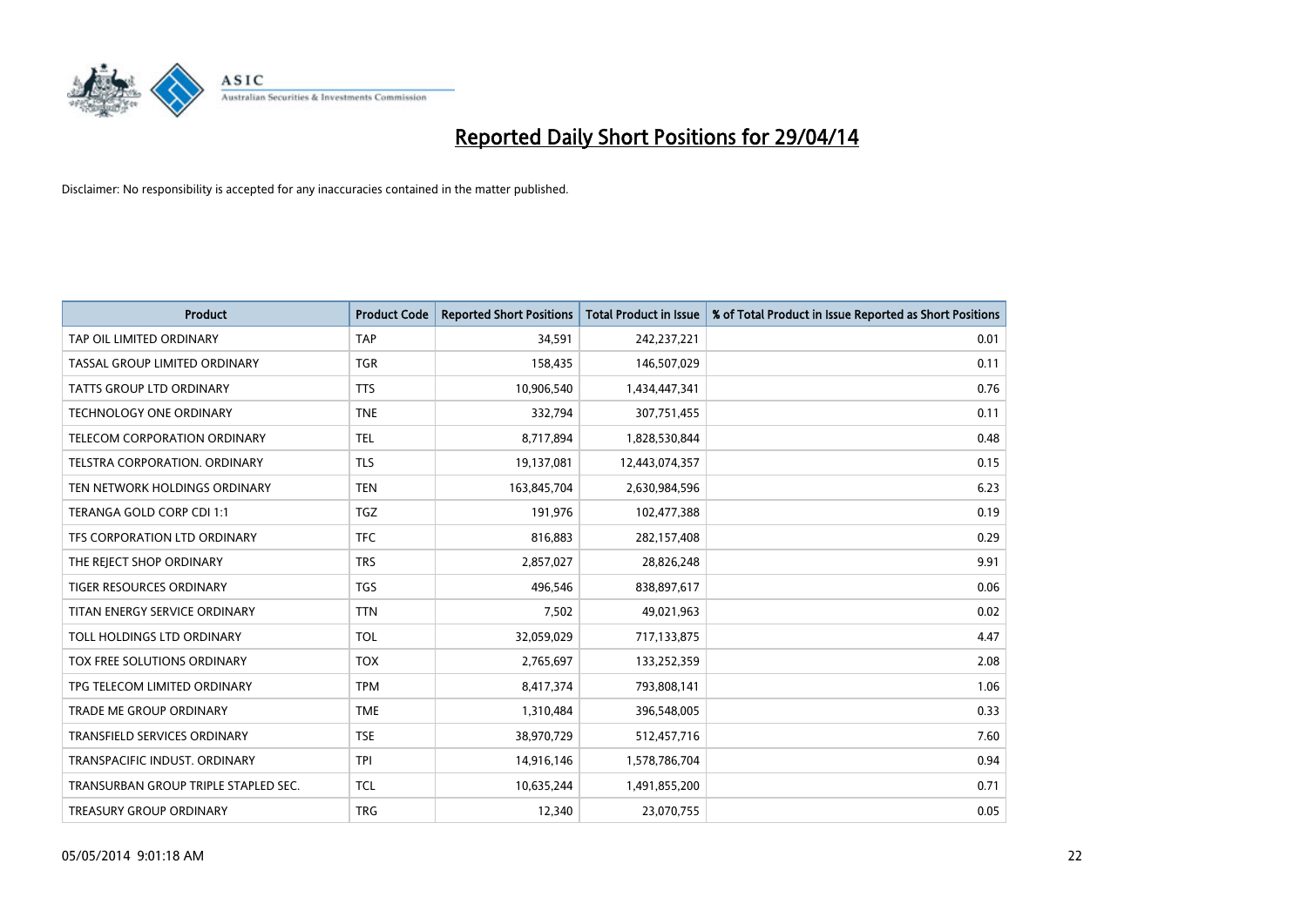

| Product                              | <b>Product Code</b> | <b>Reported Short Positions</b> | <b>Total Product in Issue</b> | % of Total Product in Issue Reported as Short Positions |
|--------------------------------------|---------------------|---------------------------------|-------------------------------|---------------------------------------------------------|
| TAP OIL LIMITED ORDINARY             | <b>TAP</b>          | 34,591                          | 242,237,221                   | 0.01                                                    |
| TASSAL GROUP LIMITED ORDINARY        | <b>TGR</b>          | 158,435                         | 146,507,029                   | 0.11                                                    |
| <b>TATTS GROUP LTD ORDINARY</b>      | <b>TTS</b>          | 10,906,540                      | 1,434,447,341                 | 0.76                                                    |
| TECHNOLOGY ONE ORDINARY              | <b>TNE</b>          | 332,794                         | 307,751,455                   | 0.11                                                    |
| TELECOM CORPORATION ORDINARY         | <b>TEL</b>          | 8,717,894                       | 1,828,530,844                 | 0.48                                                    |
| TELSTRA CORPORATION, ORDINARY        | <b>TLS</b>          | 19,137,081                      | 12,443,074,357                | 0.15                                                    |
| TEN NETWORK HOLDINGS ORDINARY        | <b>TEN</b>          | 163,845,704                     | 2,630,984,596                 | 6.23                                                    |
| TERANGA GOLD CORP CDI 1:1            | <b>TGZ</b>          | 191,976                         | 102,477,388                   | 0.19                                                    |
| TFS CORPORATION LTD ORDINARY         | <b>TFC</b>          | 816,883                         | 282,157,408                   | 0.29                                                    |
| THE REJECT SHOP ORDINARY             | <b>TRS</b>          | 2,857,027                       | 28,826,248                    | 9.91                                                    |
| TIGER RESOURCES ORDINARY             | <b>TGS</b>          | 496,546                         | 838,897,617                   | 0.06                                                    |
| TITAN ENERGY SERVICE ORDINARY        | <b>TTN</b>          | 7,502                           | 49,021,963                    | 0.02                                                    |
| TOLL HOLDINGS LTD ORDINARY           | <b>TOL</b>          | 32,059,029                      | 717,133,875                   | 4.47                                                    |
| TOX FREE SOLUTIONS ORDINARY          | <b>TOX</b>          | 2,765,697                       | 133,252,359                   | 2.08                                                    |
| TPG TELECOM LIMITED ORDINARY         | <b>TPM</b>          | 8,417,374                       | 793,808,141                   | 1.06                                                    |
| TRADE ME GROUP ORDINARY              | <b>TME</b>          | 1,310,484                       | 396,548,005                   | 0.33                                                    |
| TRANSFIELD SERVICES ORDINARY         | <b>TSE</b>          | 38,970,729                      | 512,457,716                   | 7.60                                                    |
| TRANSPACIFIC INDUST. ORDINARY        | <b>TPI</b>          | 14,916,146                      | 1,578,786,704                 | 0.94                                                    |
| TRANSURBAN GROUP TRIPLE STAPLED SEC. | <b>TCL</b>          | 10,635,244                      | 1,491,855,200                 | 0.71                                                    |
| TREASURY GROUP ORDINARY              | <b>TRG</b>          | 12,340                          | 23,070,755                    | 0.05                                                    |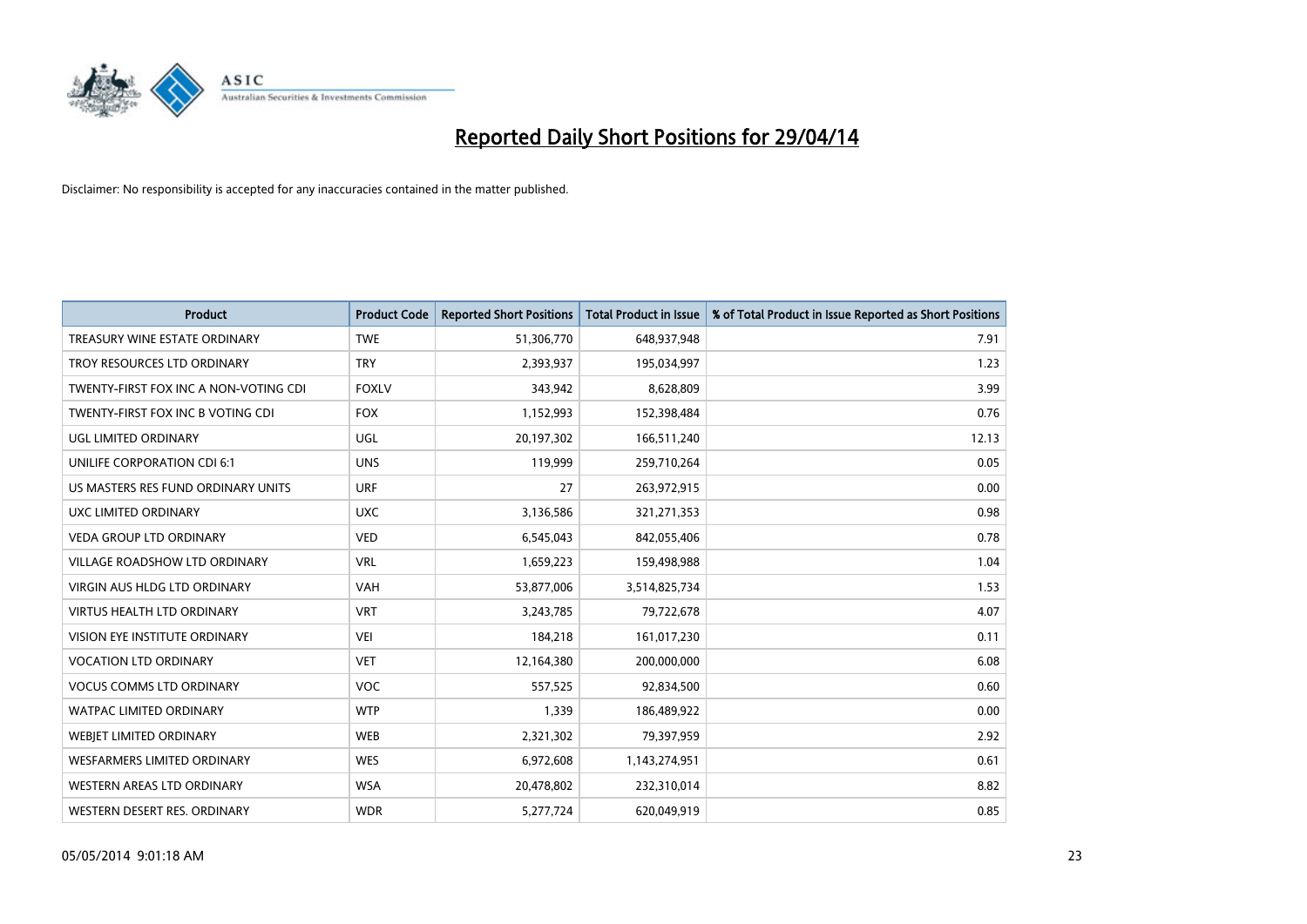

| <b>Product</b>                        | <b>Product Code</b> | <b>Reported Short Positions</b> | <b>Total Product in Issue</b> | % of Total Product in Issue Reported as Short Positions |
|---------------------------------------|---------------------|---------------------------------|-------------------------------|---------------------------------------------------------|
| TREASURY WINE ESTATE ORDINARY         | <b>TWE</b>          | 51,306,770                      | 648,937,948                   | 7.91                                                    |
| TROY RESOURCES LTD ORDINARY           | <b>TRY</b>          | 2,393,937                       | 195,034,997                   | 1.23                                                    |
| TWENTY-FIRST FOX INC A NON-VOTING CDI | <b>FOXLV</b>        | 343,942                         | 8,628,809                     | 3.99                                                    |
| TWENTY-FIRST FOX INC B VOTING CDI     | <b>FOX</b>          | 1,152,993                       | 152,398,484                   | 0.76                                                    |
| UGL LIMITED ORDINARY                  | UGL                 | 20,197,302                      | 166,511,240                   | 12.13                                                   |
| UNILIFE CORPORATION CDI 6:1           | <b>UNS</b>          | 119,999                         | 259,710,264                   | 0.05                                                    |
| US MASTERS RES FUND ORDINARY UNITS    | <b>URF</b>          | 27                              | 263,972,915                   | 0.00                                                    |
| UXC LIMITED ORDINARY                  | <b>UXC</b>          | 3,136,586                       | 321,271,353                   | 0.98                                                    |
| <b>VEDA GROUP LTD ORDINARY</b>        | <b>VED</b>          | 6,545,043                       | 842,055,406                   | 0.78                                                    |
| VILLAGE ROADSHOW LTD ORDINARY         | <b>VRL</b>          | 1,659,223                       | 159,498,988                   | 1.04                                                    |
| VIRGIN AUS HLDG LTD ORDINARY          | <b>VAH</b>          | 53,877,006                      | 3,514,825,734                 | 1.53                                                    |
| <b>VIRTUS HEALTH LTD ORDINARY</b>     | <b>VRT</b>          | 3,243,785                       | 79,722,678                    | 4.07                                                    |
| VISION EYE INSTITUTE ORDINARY         | <b>VEI</b>          | 184,218                         | 161,017,230                   | 0.11                                                    |
| <b>VOCATION LTD ORDINARY</b>          | <b>VET</b>          | 12,164,380                      | 200,000,000                   | 6.08                                                    |
| <b>VOCUS COMMS LTD ORDINARY</b>       | <b>VOC</b>          | 557,525                         | 92,834,500                    | 0.60                                                    |
| WATPAC LIMITED ORDINARY               | <b>WTP</b>          | 1,339                           | 186,489,922                   | 0.00                                                    |
| WEBJET LIMITED ORDINARY               | <b>WEB</b>          | 2,321,302                       | 79,397,959                    | 2.92                                                    |
| <b>WESFARMERS LIMITED ORDINARY</b>    | <b>WES</b>          | 6,972,608                       | 1,143,274,951                 | 0.61                                                    |
| WESTERN AREAS LTD ORDINARY            | <b>WSA</b>          | 20,478,802                      | 232,310,014                   | 8.82                                                    |
| WESTERN DESERT RES. ORDINARY          | <b>WDR</b>          | 5,277,724                       | 620,049,919                   | 0.85                                                    |